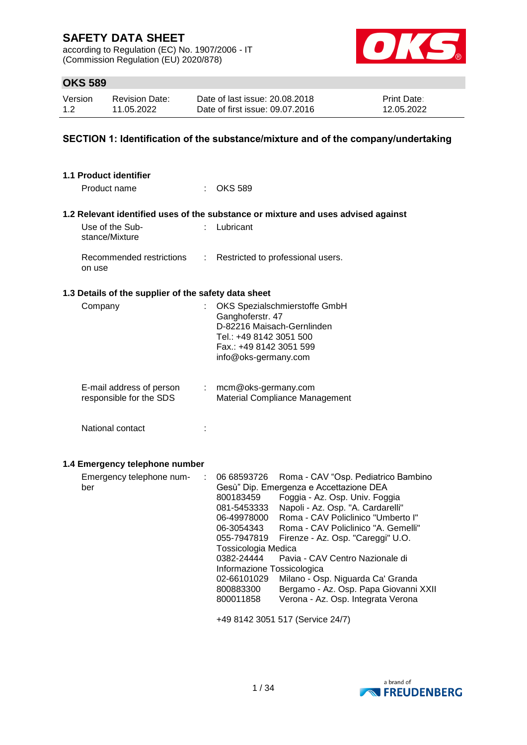according to Regulation (EC) No. 1907/2006 - IT (Commission Regulation (EU) 2020/878)



## **OKS 589**

| Version | <b>Revision Date:</b> | Date of last issue: 20.08.2018  | <b>Print Date:</b> |
|---------|-----------------------|---------------------------------|--------------------|
| 1.2     | 11.05.2022            | Date of first issue: 09.07.2016 | 12.05.2022         |

### **SECTION 1: Identification of the substance/mixture and of the company/undertaking**

| <b>1.1 Product identifier</b>                        |                  |                                                                                                                                                                                                                                                                                                                                                                                                                                                                                                                                                                                                                                                                       |
|------------------------------------------------------|------------------|-----------------------------------------------------------------------------------------------------------------------------------------------------------------------------------------------------------------------------------------------------------------------------------------------------------------------------------------------------------------------------------------------------------------------------------------------------------------------------------------------------------------------------------------------------------------------------------------------------------------------------------------------------------------------|
| Product name                                         |                  | <b>OKS 589</b>                                                                                                                                                                                                                                                                                                                                                                                                                                                                                                                                                                                                                                                        |
|                                                      |                  | 1.2 Relevant identified uses of the substance or mixture and uses advised against                                                                                                                                                                                                                                                                                                                                                                                                                                                                                                                                                                                     |
| Use of the Sub-<br>stance/Mixture                    |                  | Lubricant                                                                                                                                                                                                                                                                                                                                                                                                                                                                                                                                                                                                                                                             |
| Recommended restrictions<br>on use                   | ÷                | Restricted to professional users.                                                                                                                                                                                                                                                                                                                                                                                                                                                                                                                                                                                                                                     |
| 1.3 Details of the supplier of the safety data sheet |                  |                                                                                                                                                                                                                                                                                                                                                                                                                                                                                                                                                                                                                                                                       |
| Company                                              |                  | OKS Spezialschmierstoffe GmbH<br>Ganghoferstr. 47<br>D-82216 Maisach-Gernlinden<br>Tel.: +49 8142 3051 500<br>Fax.: +49 8142 3051 599<br>info@oks-germany.com                                                                                                                                                                                                                                                                                                                                                                                                                                                                                                         |
| E-mail address of person<br>responsible for the SDS  | $\mathbb{Z}^n$ . | mcm@oks-germany.com<br>Material Compliance Management                                                                                                                                                                                                                                                                                                                                                                                                                                                                                                                                                                                                                 |
| National contact                                     | ÷                |                                                                                                                                                                                                                                                                                                                                                                                                                                                                                                                                                                                                                                                                       |
| 1.4 Emergency telephone number                       |                  |                                                                                                                                                                                                                                                                                                                                                                                                                                                                                                                                                                                                                                                                       |
| Emergency telephone num-<br>ber                      | ÷                | 06 68593726<br>Roma - CAV "Osp. Pediatrico Bambino<br>Gesù" Dip. Emergenza e Accettazione DEA<br>Foggia - Az. Osp. Univ. Foggia<br>800183459<br>Napoli - Az. Osp. "A. Cardarelli"<br>081-5453333<br>Roma - CAV Policlinico "Umberto I"<br>06-49978000<br>Roma - CAV Policlinico "A. Gemelli"<br>06-3054343<br>055-7947819<br>Firenze - Az. Osp. "Careggi" U.O.<br>Tossicologia Medica<br>0382-24444<br>Pavia - CAV Centro Nazionale di<br>Informazione Tossicologica<br>02-66101029<br>Milano - Osp. Niguarda Ca' Granda<br>Bergamo - Az. Osp. Papa Giovanni XXII<br>800883300<br>Verona - Az. Osp. Integrata Verona<br>800011858<br>+49 8142 3051 517 (Service 24/7) |
|                                                      |                  |                                                                                                                                                                                                                                                                                                                                                                                                                                                                                                                                                                                                                                                                       |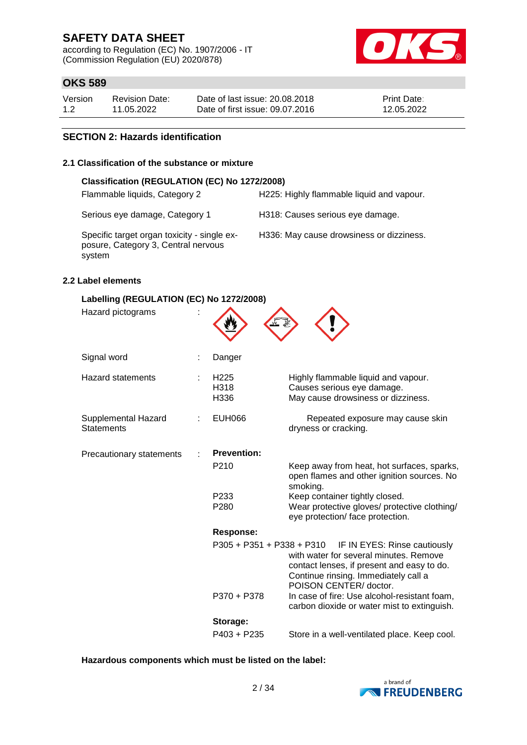according to Regulation (EC) No. 1907/2006 - IT (Commission Regulation (EU) 2020/878)



## **OKS 589**

| Version | <b>Revision Date:</b> | Date of last issue: 20.08.2018  | <b>Print Date:</b> |
|---------|-----------------------|---------------------------------|--------------------|
| 1.2     | 11.05.2022            | Date of first issue: 09.07.2016 | 12.05.2022         |

#### **SECTION 2: Hazards identification**

#### **2.1 Classification of the substance or mixture**

| Classification (REGULATION (EC) No 1272/2008)                                                |                                           |
|----------------------------------------------------------------------------------------------|-------------------------------------------|
| Flammable liquids, Category 2                                                                | H225: Highly flammable liquid and vapour. |
| Serious eye damage, Category 1                                                               | H318: Causes serious eye damage.          |
| Specific target organ toxicity - single ex-<br>posure, Category 3, Central nervous<br>system | H336: May cause drowsiness or dizziness.  |

#### **2.2 Label elements**

| Labelling (REGULATION (EC) No 1272/2008) |                                  |                                                                                                                                                                                        |
|------------------------------------------|----------------------------------|----------------------------------------------------------------------------------------------------------------------------------------------------------------------------------------|
| Hazard pictograms                        |                                  |                                                                                                                                                                                        |
| Signal word                              | Danger                           |                                                                                                                                                                                        |
| <b>Hazard statements</b>                 | H <sub>225</sub><br>H318<br>H336 | Highly flammable liquid and vapour.<br>Causes serious eye damage.<br>May cause drowsiness or dizziness.                                                                                |
| Supplemental Hazard<br><b>Statements</b> | <b>EUH066</b>                    | Repeated exposure may cause skin<br>dryness or cracking.                                                                                                                               |
| Precautionary statements                 | <b>Prevention:</b>               |                                                                                                                                                                                        |
|                                          | P210                             | Keep away from heat, hot surfaces, sparks,<br>open flames and other ignition sources. No<br>smoking.                                                                                   |
|                                          | P <sub>233</sub><br>P280         | Keep container tightly closed.<br>Wear protective gloves/ protective clothing/<br>eye protection/ face protection.                                                                     |
|                                          | <b>Response:</b>                 |                                                                                                                                                                                        |
|                                          | $P305 + P351 + P338 + P310$      | IF IN EYES: Rinse cautiously<br>with water for several minutes. Remove<br>contact lenses, if present and easy to do.<br>Continue rinsing. Immediately call a<br>POISON CENTER/ doctor. |
|                                          | P370 + P378                      | In case of fire: Use alcohol-resistant foam,<br>carbon dioxide or water mist to extinguish.                                                                                            |
|                                          | Storage:                         |                                                                                                                                                                                        |
|                                          | $P403 + P235$                    | Store in a well-ventilated place. Keep cool.                                                                                                                                           |

#### **Hazardous components which must be listed on the label:**

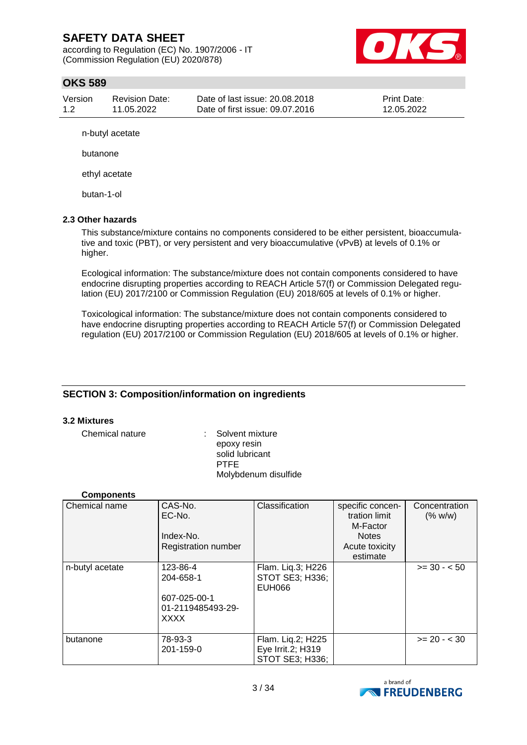according to Regulation (EC) No. 1907/2006 - IT (Commission Regulation (EU) 2020/878)



## **OKS 589**

| Version | <b>Revision Date:</b> | Date of last issue: 20.08.2018  | <b>Print Date:</b> |
|---------|-----------------------|---------------------------------|--------------------|
| 1.2     | 11.05.2022            | Date of first issue: 09.07.2016 | 12.05.2022         |

n-butyl acetate

butanone

ethyl acetate

butan-1-ol

#### **2.3 Other hazards**

This substance/mixture contains no components considered to be either persistent, bioaccumulative and toxic (PBT), or very persistent and very bioaccumulative (vPvB) at levels of 0.1% or higher.

Ecological information: The substance/mixture does not contain components considered to have endocrine disrupting properties according to REACH Article 57(f) or Commission Delegated regulation (EU) 2017/2100 or Commission Regulation (EU) 2018/605 at levels of 0.1% or higher.

Toxicological information: The substance/mixture does not contain components considered to have endocrine disrupting properties according to REACH Article 57(f) or Commission Delegated regulation (EU) 2017/2100 or Commission Regulation (EU) 2018/605 at levels of 0.1% or higher.

### **SECTION 3: Composition/information on ingredients**

#### **3.2 Mixtures**

Chemical nature : Solvent mixture epoxy resin solid lubricant PTFE Molybdenum disulfide

#### **Components**

| Chemical name   | CAS-No.<br>EC-No.<br>Index-No.<br>Registration number                     | Classification                                            | specific concen-<br>tration limit<br>M-Factor<br><b>Notes</b><br>Acute toxicity<br>estimate | Concentration<br>(% w/w) |
|-----------------|---------------------------------------------------------------------------|-----------------------------------------------------------|---------------------------------------------------------------------------------------------|--------------------------|
| n-butyl acetate | 123-86-4<br>204-658-1<br>607-025-00-1<br>01-2119485493-29-<br><b>XXXX</b> | Flam. Liq.3; H226<br>STOT SE3; H336;<br><b>EUH066</b>     |                                                                                             | $>= 30 - 50$             |
| butanone        | 78-93-3<br>201-159-0                                                      | Flam. Liq.2; H225<br>Eye Irrit.2; H319<br>STOT SE3; H336; |                                                                                             | $>= 20 - < 30$           |

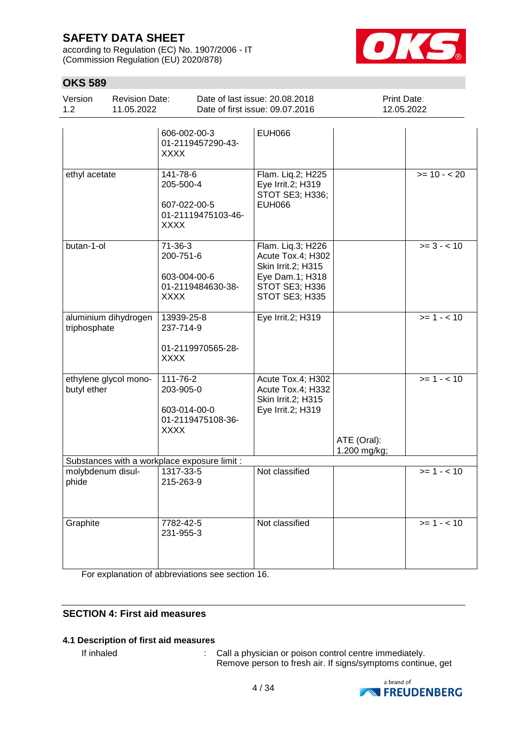according to Regulation (EC) No. 1907/2006 - IT (Commission Regulation (EU) 2020/878)



## **OKS 589**

| Version<br>1.2             | <b>Revision Date:</b><br>11.05.2022 |                                                                            | Date of last issue: 20.08.2018<br>Date of first issue: 09.07.2016                                                   | Print Date:<br>12.05.2022   |                          |
|----------------------------|-------------------------------------|----------------------------------------------------------------------------|---------------------------------------------------------------------------------------------------------------------|-----------------------------|--------------------------|
|                            |                                     | 606-002-00-3<br>01-2119457290-43-<br><b>XXXX</b>                           | <b>EUH066</b>                                                                                                       |                             |                          |
| ethyl acetate              |                                     | 141-78-6<br>205-500-4<br>607-022-00-5<br>01-21119475103-46-<br><b>XXXX</b> | Flam. Liq.2; H225<br>Eye Irrit.2; H319<br>STOT SE3; H336;<br><b>EUH066</b>                                          |                             | $>= 10 - 20$             |
| butan-1-ol                 |                                     | $71-36-3$<br>200-751-6<br>603-004-00-6<br>01-2119484630-38-<br><b>XXXX</b> | Flam. Liq.3; H226<br>Acute Tox.4; H302<br>Skin Irrit.2; H315<br>Eye Dam.1; H318<br>STOT SE3; H336<br>STOT SE3; H335 |                             | $\overline{>=}$ 3 - < 10 |
| triphosphate               | aluminium dihydrogen                | 13939-25-8<br>237-714-9<br>01-2119970565-28-<br><b>XXXX</b>                | Eye Irrit.2; H319                                                                                                   |                             | $>= 1 - 10$              |
| butyl ether                | ethylene glycol mono-               | 111-76-2<br>203-905-0<br>603-014-00-0<br>01-2119475108-36-<br><b>XXXX</b>  | Acute Tox.4; H302<br>Acute Tox.4; H332<br>Skin Irrit.2; H315<br>Eye Irrit.2; H319                                   | ATE (Oral):<br>1.200 mg/kg; | $>= 1 - 10$              |
|                            |                                     | Substances with a workplace exposure limit :                               |                                                                                                                     |                             |                          |
| molybdenum disul-<br>phide |                                     | 1317-33-5<br>215-263-9                                                     | Not classified                                                                                                      |                             | $>= 1 - 10$              |
| Graphite                   |                                     | 7782-42-5<br>231-955-3                                                     | Not classified                                                                                                      |                             | $>= 1 - 10$              |

For explanation of abbreviations see section 16.

### **SECTION 4: First aid measures**

#### **4.1 Description of first aid measures**

If inhaled  $\therefore$  Call a physician or poison control centre immediately. Remove person to fresh air. If signs/symptoms continue, get

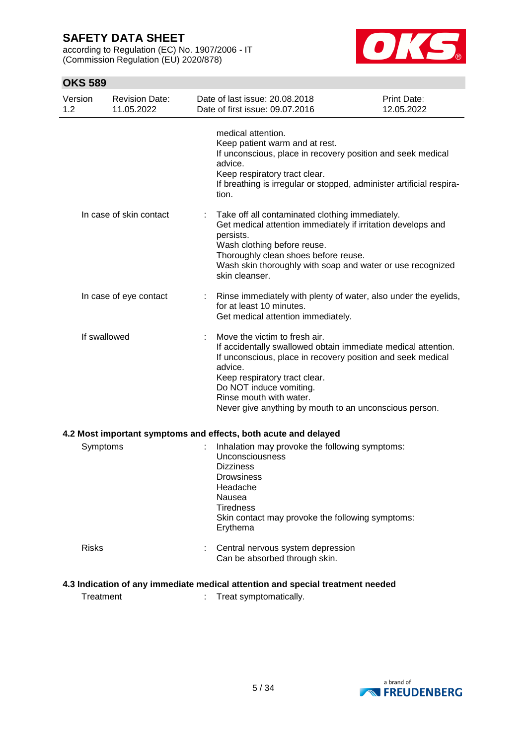according to Regulation (EC) No. 1907/2006 - IT (Commission Regulation (EU) 2020/878)



## **OKS 589**

| Version<br>1.2                                                                 | <b>Revision Date:</b><br>11.05.2022 |  | Date of last issue: 20.08.2018<br>Date of first issue: 09.07.2016                                                                                                                                                                                                                                                         | Print Date:<br>12.05.2022 |
|--------------------------------------------------------------------------------|-------------------------------------|--|---------------------------------------------------------------------------------------------------------------------------------------------------------------------------------------------------------------------------------------------------------------------------------------------------------------------------|---------------------------|
|                                                                                |                                     |  | medical attention.<br>Keep patient warm and at rest.<br>If unconscious, place in recovery position and seek medical<br>advice.<br>Keep respiratory tract clear.<br>If breathing is irregular or stopped, administer artificial respira-<br>tion.                                                                          |                           |
|                                                                                | In case of skin contact             |  | Take off all contaminated clothing immediately.<br>Get medical attention immediately if irritation develops and<br>persists.<br>Wash clothing before reuse.<br>Thoroughly clean shoes before reuse.<br>Wash skin thoroughly with soap and water or use recognized<br>skin cleanser.                                       |                           |
|                                                                                | In case of eye contact              |  | Rinse immediately with plenty of water, also under the eyelids,<br>for at least 10 minutes.<br>Get medical attention immediately.                                                                                                                                                                                         |                           |
| If swallowed                                                                   |                                     |  | Move the victim to fresh air.<br>If accidentally swallowed obtain immediate medical attention.<br>If unconscious, place in recovery position and seek medical<br>advice.<br>Keep respiratory tract clear.<br>Do NOT induce vomiting.<br>Rinse mouth with water.<br>Never give anything by mouth to an unconscious person. |                           |
|                                                                                |                                     |  | 4.2 Most important symptoms and effects, both acute and delayed                                                                                                                                                                                                                                                           |                           |
| Symptoms                                                                       |                                     |  | Inhalation may provoke the following symptoms:<br>Unconsciousness<br><b>Dizziness</b><br>Drowsiness<br>Headache<br>Nausea<br><b>Tiredness</b><br>Skin contact may provoke the following symptoms:<br>Erythema                                                                                                             |                           |
| <b>Risks</b>                                                                   |                                     |  | Central nervous system depression<br>Can be absorbed through skin.                                                                                                                                                                                                                                                        |                           |
| 4.3 Indication of any immediate medical attention and special treatment needed |                                     |  |                                                                                                                                                                                                                                                                                                                           |                           |

Treatment : Treat symptomatically.

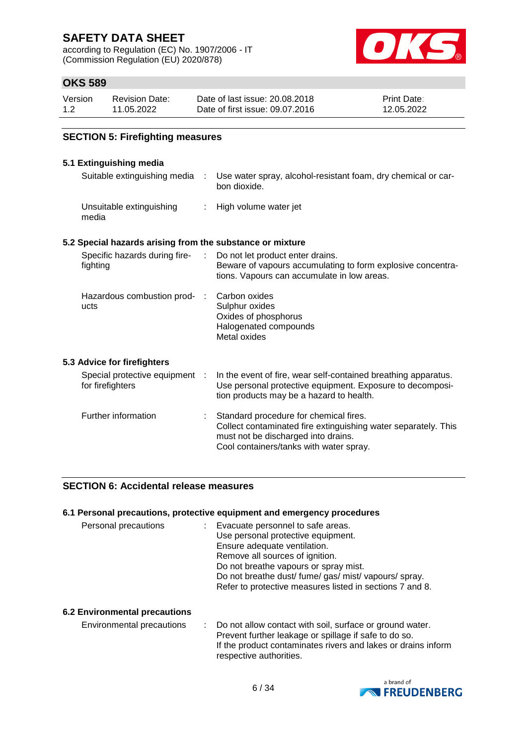according to Regulation (EC) No. 1907/2006 - IT (Commission Regulation (EU) 2020/878)



## **OKS 589**

| Version | Revision Date: | Date of last issue: 20.08.2018  | <b>Print Date:</b> |
|---------|----------------|---------------------------------|--------------------|
| 1.2     | 11.05.2022     | Date of first issue: 09.07.2016 | 12.05.2022         |

#### **SECTION 5: Firefighting measures**

### **5.1 Extinguishing media**

| o. Launguionny mculu                                      |                         |                                                                                                                                                                                            |
|-----------------------------------------------------------|-------------------------|--------------------------------------------------------------------------------------------------------------------------------------------------------------------------------------------|
| Suitable extinguishing media                              | ÷                       | Use water spray, alcohol-resistant foam, dry chemical or car-<br>bon dioxide.                                                                                                              |
| Unsuitable extinguishing<br>media                         | $\mathbb{R}^n$          | High volume water jet                                                                                                                                                                      |
| 5.2 Special hazards arising from the substance or mixture |                         |                                                                                                                                                                                            |
| Specific hazards during fire-<br>fighting                 | ÷.                      | Do not let product enter drains.<br>Beware of vapours accumulating to form explosive concentra-<br>tions. Vapours can accumulate in low areas.                                             |
| Hazardous combustion prod-<br>ucts                        | $\langle \cdot \rangle$ | Carbon oxides<br>Sulphur oxides<br>Oxides of phosphorus<br>Halogenated compounds<br>Metal oxides                                                                                           |
| 5.3 Advice for firefighters                               |                         |                                                                                                                                                                                            |
| Special protective equipment :<br>for firefighters        |                         | In the event of fire, wear self-contained breathing apparatus.<br>Use personal protective equipment. Exposure to decomposi-<br>tion products may be a hazard to health.                    |
| Further information                                       |                         | Standard procedure for chemical fires.<br>Collect contaminated fire extinguishing water separately. This<br>must not be discharged into drains.<br>Cool containers/tanks with water spray. |

#### **SECTION 6: Accidental release measures**

#### **6.1 Personal precautions, protective equipment and emergency procedures**

| Personal precautions | : Evacuate personnel to safe areas.                      |
|----------------------|----------------------------------------------------------|
|                      | Use personal protective equipment.                       |
|                      | Ensure adequate ventilation.                             |
|                      | Remove all sources of ignition.                          |
|                      | Do not breathe vapours or spray mist.                    |
|                      | Do not breathe dust/ fume/ gas/ mist/ vapours/ spray.    |
|                      | Refer to protective measures listed in sections 7 and 8. |

#### **6.2 Environmental precautions**

Environmental precautions : Do not allow contact with soil, surface or ground water. Prevent further leakage or spillage if safe to do so. If the product contaminates rivers and lakes or drains inform respective authorities.

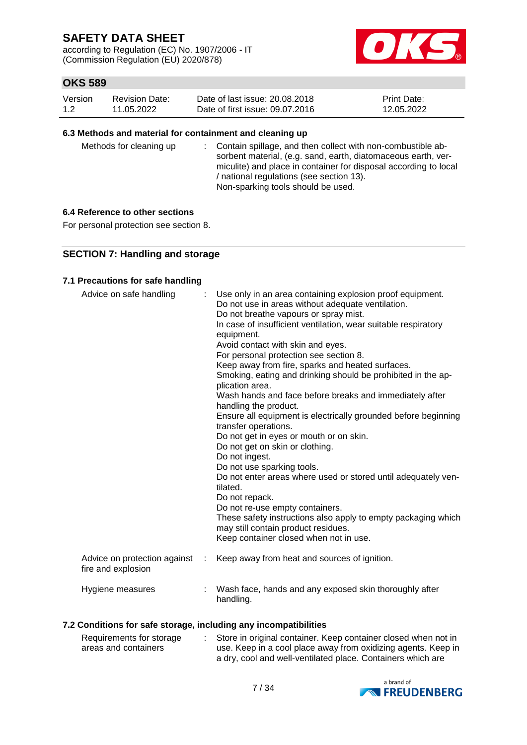according to Regulation (EC) No. 1907/2006 - IT (Commission Regulation (EU) 2020/878)



## **OKS 589**

| Version | <b>Revision Date:</b> | Date of last issue: 20.08.2018  | <b>Print Date:</b> |
|---------|-----------------------|---------------------------------|--------------------|
| 1.2     | 11.05.2022            | Date of first issue: 09.07.2016 | 12.05.2022         |

#### **6.3 Methods and material for containment and cleaning up**

| Methods for cleaning up |  | : Contain spillage, and then collect with non-combustible ab-<br>sorbent material, (e.g. sand, earth, diatomaceous earth, ver-<br>miculite) and place in container for disposal according to local<br>/ national regulations (see section 13).<br>Non-sparking tools should be used. |
|-------------------------|--|--------------------------------------------------------------------------------------------------------------------------------------------------------------------------------------------------------------------------------------------------------------------------------------|
|-------------------------|--|--------------------------------------------------------------------------------------------------------------------------------------------------------------------------------------------------------------------------------------------------------------------------------------|

#### **6.4 Reference to other sections**

For personal protection see section 8.

### **SECTION 7: Handling and storage**

#### **7.1 Precautions for safe handling**

| Advice on safe handling                            |   | Use only in an area containing explosion proof equipment.<br>Do not use in areas without adequate ventilation.<br>Do not breathe vapours or spray mist.<br>In case of insufficient ventilation, wear suitable respiratory<br>equipment.<br>Avoid contact with skin and eyes.<br>For personal protection see section 8.<br>Keep away from fire, sparks and heated surfaces.<br>Smoking, eating and drinking should be prohibited in the ap-<br>plication area.<br>Wash hands and face before breaks and immediately after<br>handling the product.<br>Ensure all equipment is electrically grounded before beginning<br>transfer operations.<br>Do not get in eyes or mouth or on skin.<br>Do not get on skin or clothing.<br>Do not ingest.<br>Do not use sparking tools.<br>Do not enter areas where used or stored until adequately ven-<br>tilated.<br>Do not repack.<br>Do not re-use empty containers.<br>These safety instructions also apply to empty packaging which<br>may still contain product residues.<br>Keep container closed when not in use. |
|----------------------------------------------------|---|---------------------------------------------------------------------------------------------------------------------------------------------------------------------------------------------------------------------------------------------------------------------------------------------------------------------------------------------------------------------------------------------------------------------------------------------------------------------------------------------------------------------------------------------------------------------------------------------------------------------------------------------------------------------------------------------------------------------------------------------------------------------------------------------------------------------------------------------------------------------------------------------------------------------------------------------------------------------------------------------------------------------------------------------------------------|
| Advice on protection against<br>fire and explosion | ÷ | Keep away from heat and sources of ignition.                                                                                                                                                                                                                                                                                                                                                                                                                                                                                                                                                                                                                                                                                                                                                                                                                                                                                                                                                                                                                  |
| Hygiene measures                                   |   | Wash face, hands and any exposed skin thoroughly after<br>handling.                                                                                                                                                                                                                                                                                                                                                                                                                                                                                                                                                                                                                                                                                                                                                                                                                                                                                                                                                                                           |

### **7.2 Conditions for safe storage, including any incompatibilities**

| Requirements for storage | Store in original container. Keep container closed when not in |
|--------------------------|----------------------------------------------------------------|
| areas and containers     | use. Keep in a cool place away from oxidizing agents. Keep in  |
|                          | a dry, cool and well-ventilated place. Containers which are    |

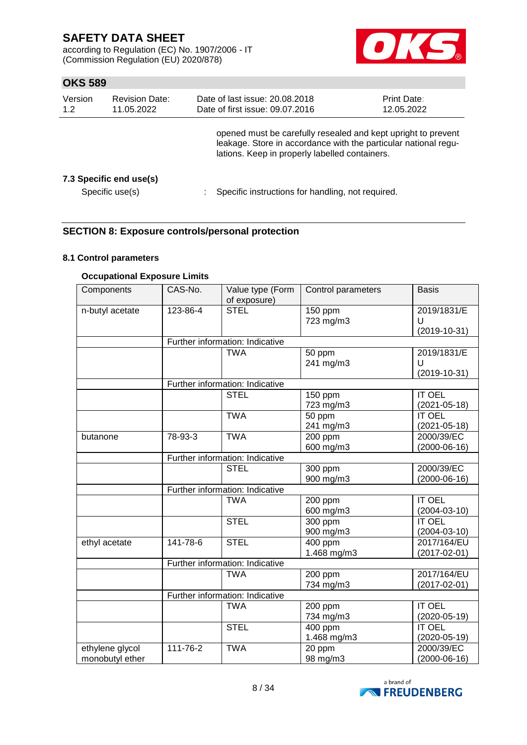according to Regulation (EC) No. 1907/2006 - IT (Commission Regulation (EU) 2020/878)



## **OKS 589**

| Version<br>1.2 | <b>Revision Date:</b><br>11.05.2022        | Date of last issue: 20.08.2018<br>Date of first issue: 09.07.2016                                                                                                                  | Print Date:<br>12.05.2022 |
|----------------|--------------------------------------------|------------------------------------------------------------------------------------------------------------------------------------------------------------------------------------|---------------------------|
|                |                                            | opened must be carefully resealed and kept upright to prevent<br>leakage. Store in accordance with the particular national regu-<br>lations. Keep in properly labelled containers. |                           |
|                | 7.3 Specific end use(s)<br>Specific use(s) | Specific instructions for handling, not required.                                                                                                                                  |                           |

### **SECTION 8: Exposure controls/personal protection**

#### **8.1 Control parameters**

### **Occupational Exposure Limits**

| Components                         | CAS-No.                         | Value type (Form<br>of exposure) | Control parameters       | <b>Basis</b>                           |  |  |
|------------------------------------|---------------------------------|----------------------------------|--------------------------|----------------------------------------|--|--|
| n-butyl acetate                    | 123-86-4                        | <b>STEL</b>                      | 150 ppm<br>723 mg/m3     | 2019/1831/E<br>U<br>$(2019 - 10 - 31)$ |  |  |
|                                    |                                 | Further information: Indicative  |                          |                                        |  |  |
|                                    |                                 | <b>TWA</b>                       | 50 ppm<br>241 mg/m3      | 2019/1831/E<br>U<br>$(2019 - 10 - 31)$ |  |  |
|                                    |                                 | Further information: Indicative  |                          |                                        |  |  |
|                                    |                                 | <b>STEL</b>                      | 150 ppm<br>723 mg/m3     | <b>IT OEL</b><br>$(2021 - 05 - 18)$    |  |  |
|                                    |                                 | <b>TWA</b>                       | 50 ppm<br>241 mg/m3      | <b>IT OEL</b><br>$(2021 - 05 - 18)$    |  |  |
| butanone                           | 78-93-3                         | <b>TWA</b>                       | 200 ppm<br>600 mg/m3     | 2000/39/EC<br>$(2000-06-16)$           |  |  |
|                                    | Further information: Indicative |                                  |                          |                                        |  |  |
|                                    |                                 | <b>STEL</b>                      | 300 ppm<br>900 mg/m3     | 2000/39/EC<br>$(2000-06-16)$           |  |  |
|                                    |                                 | Further information: Indicative  |                          |                                        |  |  |
|                                    |                                 | <b>TWA</b>                       | 200 ppm<br>600 mg/m3     | <b>IT OEL</b><br>$(2004 - 03 - 10)$    |  |  |
|                                    |                                 | <b>STEL</b>                      | 300 ppm<br>900 mg/m3     | <b>IT OEL</b><br>$(2004 - 03 - 10)$    |  |  |
| ethyl acetate                      | 141-78-6                        | <b>STEL</b>                      | $400$ ppm<br>1.468 mg/m3 | 2017/164/EU<br>$(2017 - 02 - 01)$      |  |  |
|                                    |                                 | Further information: Indicative  |                          |                                        |  |  |
|                                    |                                 | <b>TWA</b>                       | 200 ppm<br>734 mg/m3     | 2017/164/EU<br>$(2017 - 02 - 01)$      |  |  |
|                                    |                                 | Further information: Indicative  |                          |                                        |  |  |
|                                    |                                 | <b>TWA</b>                       | 200 ppm<br>734 mg/m3     | <b>IT OEL</b><br>$(2020 - 05 - 19)$    |  |  |
|                                    |                                 | <b>STEL</b>                      | 400 ppm<br>1.468 mg/m3   | <b>IT OEL</b><br>$(2020 - 05 - 19)$    |  |  |
| ethylene glycol<br>monobutyl ether | 111-76-2                        | <b>TWA</b>                       | 20 ppm<br>98 mg/m3       | 2000/39/EC<br>$(2000-06-16)$           |  |  |

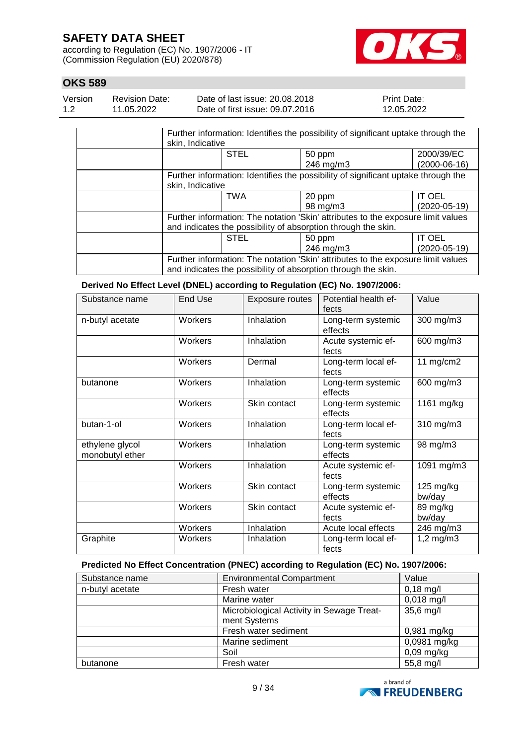according to Regulation (EC) No. 1907/2006 - IT (Commission Regulation (EU) 2020/878)



## **OKS 589**

| Version | Revision Date: | Date of last issue: 20.08.2018  | <b>Print Date:</b> |
|---------|----------------|---------------------------------|--------------------|
| 1.2     | 11.05.2022     | Date of first issue: 09.07.2016 | 12.05.2022         |

| Further information: Identifies the possibility of significant uptake through the<br>skin, Indicative |             |                                                                                   |                |
|-------------------------------------------------------------------------------------------------------|-------------|-----------------------------------------------------------------------------------|----------------|
|                                                                                                       | <b>STEL</b> | 50 ppm                                                                            | 2000/39/EC     |
|                                                                                                       |             | 246 mg/m3                                                                         | $(2000-06-16)$ |
|                                                                                                       |             | Further information: Identifies the possibility of significant uptake through the |                |
| skin, Indicative                                                                                      |             |                                                                                   |                |
|                                                                                                       | <b>TWA</b>  | 20 ppm                                                                            | <b>IT OEL</b>  |
|                                                                                                       |             | 98 mg/m3                                                                          | $(2020-05-19)$ |
| Further information: The notation 'Skin' attributes to the exposure limit values                      |             |                                                                                   |                |
|                                                                                                       |             | and indicates the possibility of absorption through the skin.                     |                |
|                                                                                                       | <b>STEL</b> | 50 ppm                                                                            | <b>IT OEL</b>  |
|                                                                                                       |             | 246 mg/m3                                                                         | (2020-05-19)   |
| Further information: The notation 'Skin' attributes to the exposure limit values                      |             |                                                                                   |                |
| and indicates the possibility of absorption through the skin.                                         |             |                                                                                   |                |

#### **Derived No Effect Level (DNEL) according to Regulation (EC) No. 1907/2006:**

| Substance name                     | End Use | Exposure routes | Potential health ef-          | Value                 |
|------------------------------------|---------|-----------------|-------------------------------|-----------------------|
|                                    |         |                 | fects                         |                       |
| n-butyl acetate                    | Workers | Inhalation      | Long-term systemic<br>effects | 300 mg/m3             |
|                                    | Workers | Inhalation      | Acute systemic ef-<br>fects   | 600 mg/m3             |
|                                    | Workers | Dermal          | Long-term local ef-<br>fects  | 11 $mg/cm2$           |
| butanone                           | Workers | Inhalation      | Long-term systemic<br>effects | 600 mg/m3             |
|                                    | Workers | Skin contact    | Long-term systemic<br>effects | 1161 mg/kg            |
| butan-1-ol                         | Workers | Inhalation      | Long-term local ef-<br>fects  | 310 mg/m3             |
| ethylene glycol<br>monobutyl ether | Workers | Inhalation      | Long-term systemic<br>effects | 98 mg/m3              |
|                                    | Workers | Inhalation      | Acute systemic ef-<br>fects   | 1091 mg/m3            |
|                                    | Workers | Skin contact    | Long-term systemic<br>effects | $125$ mg/kg<br>bw/day |
|                                    | Workers | Skin contact    | Acute systemic ef-<br>fects   | 89 mg/kg<br>bw/day    |
|                                    | Workers | Inhalation      | Acute local effects           | 246 mg/m3             |
| Graphite                           | Workers | Inhalation      | Long-term local ef-<br>fects  | $1,2$ mg/m $3$        |

### **Predicted No Effect Concentration (PNEC) according to Regulation (EC) No. 1907/2006:**

| Substance name  | <b>Environmental Compartment</b>                          | Value               |
|-----------------|-----------------------------------------------------------|---------------------|
| n-butyl acetate | Fresh water                                               | $0,18 \text{ mg/l}$ |
|                 | Marine water                                              | $0,018$ mg/l        |
|                 | Microbiological Activity in Sewage Treat-<br>ment Systems | 35,6 mg/l           |
|                 | Fresh water sediment                                      | $0,981$ mg/kg       |
|                 | Marine sediment                                           | 0,0981 mg/kg        |
|                 | Soil                                                      | $0,09$ mg/kg        |
| butanone        | Fresh water                                               | 55,8 mg/l           |

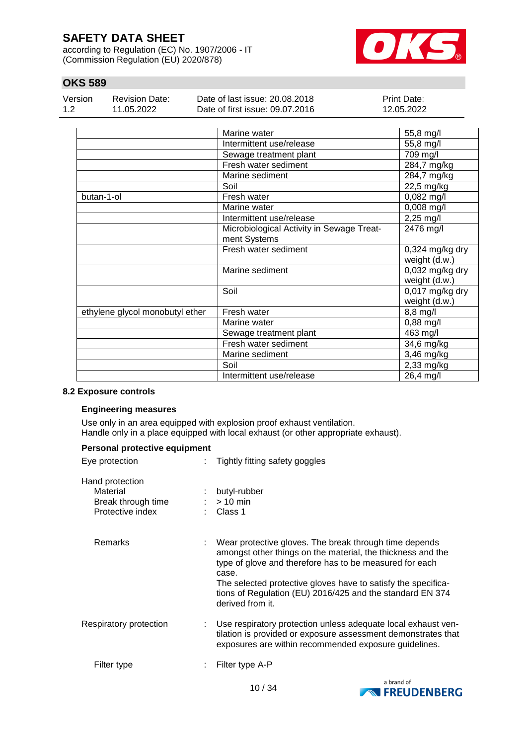according to Regulation (EC) No. 1907/2006 - IT (Commission Regulation (EU) 2020/878)



## **OKS 589**

| Version | Revision Date: | Date of last issue: 20.08.2018  | <b>Print Date:</b> |
|---------|----------------|---------------------------------|--------------------|
| 1.2     | 11.05.2022     | Date of first issue: 09.07.2016 | 12.05.2022         |

|                                 | Marine water                              | 55,8 mg/l             |
|---------------------------------|-------------------------------------------|-----------------------|
|                                 | Intermittent use/release                  | 55,8 mg/l             |
|                                 | Sewage treatment plant                    | $\overline{7}09$ mg/l |
|                                 | Fresh water sediment                      | 284,7 mg/kg           |
|                                 | Marine sediment                           | 284,7 mg/kg           |
|                                 | Soil                                      | 22,5 mg/kg            |
| butan-1-ol                      | Fresh water                               | $0,082$ mg/l          |
|                                 | Marine water                              | 0,008 mg/l            |
|                                 | Intermittent use/release                  | $2,25$ mg/l           |
|                                 | Microbiological Activity in Sewage Treat- | 2476 mg/l             |
|                                 | ment Systems                              |                       |
|                                 | Fresh water sediment                      | 0,324 mg/kg dry       |
|                                 |                                           | weight (d.w.)         |
|                                 | Marine sediment                           | 0,032 mg/kg dry       |
|                                 |                                           | weight (d.w.)         |
|                                 | Soil                                      | 0,017 mg/kg dry       |
|                                 |                                           | weight (d.w.)         |
| ethylene glycol monobutyl ether | Fresh water                               | 8,8 mg/l              |
|                                 | Marine water                              | $0,88$ mg/l           |
|                                 | Sewage treatment plant                    | 463 mg/l              |
|                                 | Fresh water sediment                      | 34,6 mg/kg            |
|                                 | Marine sediment                           | 3,46 mg/kg            |
|                                 | Soil                                      | 2,33 mg/kg            |
|                                 | Intermittent use/release                  | 26,4 mg/l             |

#### **8.2 Exposure controls**

#### **Engineering measures**

Use only in an area equipped with explosion proof exhaust ventilation. Handle only in a place equipped with local exhaust (or other appropriate exhaust).

| Personal protective equipment                                         |                                                                                                                                                                                                                                                                                                                                             |
|-----------------------------------------------------------------------|---------------------------------------------------------------------------------------------------------------------------------------------------------------------------------------------------------------------------------------------------------------------------------------------------------------------------------------------|
| Eye protection                                                        | Tightly fitting safety goggles                                                                                                                                                                                                                                                                                                              |
| Hand protection<br>Material<br>Break through time<br>Protective index | butyl-rubber<br>$>10$ min<br>Class 1                                                                                                                                                                                                                                                                                                        |
| Remarks                                                               | Wear protective gloves. The break through time depends<br>amongst other things on the material, the thickness and the<br>type of glove and therefore has to be measured for each<br>case.<br>The selected protective gloves have to satisfy the specifica-<br>tions of Regulation (EU) 2016/425 and the standard EN 374<br>derived from it. |
| Respiratory protection                                                | Use respiratory protection unless adequate local exhaust ven-<br>tilation is provided or exposure assessment demonstrates that<br>exposures are within recommended exposure guidelines.                                                                                                                                                     |
| Filter type                                                           | Filter type A-P                                                                                                                                                                                                                                                                                                                             |

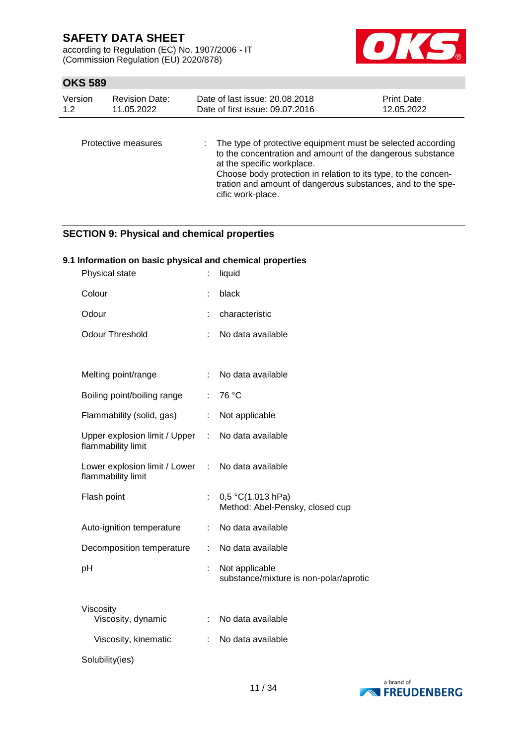according to Regulation (EC) No. 1907/2006 - IT (Commission Regulation (EU) 2020/878)



## **OKS 589**

| Version | <b>Revision Date:</b> | Date of last issue: 20.08.2018                                | <b>Print Date:</b> |  |
|---------|-----------------------|---------------------------------------------------------------|--------------------|--|
| 12      | 11.05.2022            | Date of first issue: 09.07.2016                               | 12.05.2022         |  |
|         | Protective measures   | : The type of protective equipment must be selected according |                    |  |

| ,,,,,,,,,,,,,,,,,, |                                                                |  |
|--------------------|----------------------------------------------------------------|--|
|                    | to the concentration and amount of the dangerous substance     |  |
|                    | at the specific workplace.                                     |  |
|                    | Choose body protection in relation to its type, to the concen- |  |
|                    | tration and amount of dangerous substances, and to the spe-    |  |
|                    | cific work-place.                                              |  |

## **SECTION 9: Physical and chemical properties**

### **9.1 Information on basic physical and chemical properties**

| Physical state                                        |    | liquid                                                   |
|-------------------------------------------------------|----|----------------------------------------------------------|
| Colour                                                |    | black                                                    |
| Odour                                                 |    | characteristic                                           |
| <b>Odour Threshold</b>                                |    | No data available                                        |
|                                                       |    |                                                          |
| Melting point/range                                   |    | No data available                                        |
| Boiling point/boiling range                           | ÷. | 76 °C                                                    |
| Flammability (solid, gas)                             | ÷. | Not applicable                                           |
| Upper explosion limit / Upper :<br>flammability limit |    | No data available                                        |
| Lower explosion limit / Lower :<br>flammability limit |    | No data available                                        |
| Flash point                                           |    | 0,5 °C(1.013 hPa)<br>Method: Abel-Pensky, closed cup     |
| Auto-ignition temperature                             | t. | No data available                                        |
| Decomposition temperature                             | ÷. | No data available                                        |
| рH                                                    | t. | Not applicable<br>substance/mixture is non-polar/aprotic |
| Viscosity<br>Viscosity, dynamic                       | t. | No data available                                        |
| Viscosity, kinematic                                  |    | No data available                                        |
| Solubility(ies)                                       |    |                                                          |

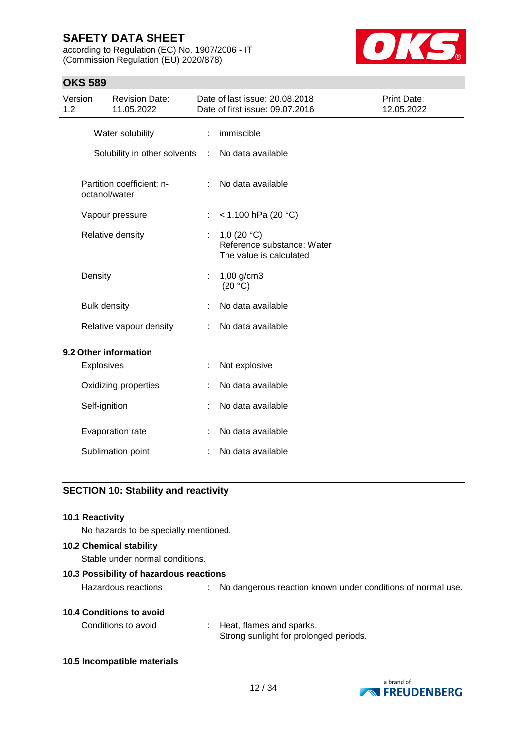according to Regulation (EC) No. 1907/2006 - IT (Commission Regulation (EU) 2020/878)



### **OKS 589**

| Version<br>1.2 |                     | <b>Revision Date:</b><br>11.05.2022        |    | Date of last issue: 20.08.2018<br>Date of first issue: 09.07.2016      | Print Date:<br>12.05.2022 |
|----------------|---------------------|--------------------------------------------|----|------------------------------------------------------------------------|---------------------------|
|                |                     | Water solubility                           | ÷  | immiscible                                                             |                           |
|                |                     | Solubility in other solvents :             |    | No data available                                                      |                           |
|                |                     | Partition coefficient: n-<br>octanol/water |    | No data available                                                      |                           |
|                |                     | Vapour pressure                            | ÷  | < 1.100 hPa (20 °C)                                                    |                           |
|                |                     | Relative density                           | ÷. | 1,0 $(20 °C)$<br>Reference substance: Water<br>The value is calculated |                           |
|                | Density             |                                            |    | $1,00$ g/cm3<br>(20 °C)                                                |                           |
|                | <b>Bulk density</b> |                                            |    | No data available                                                      |                           |
|                |                     | Relative vapour density                    |    | No data available                                                      |                           |
|                |                     | 9.2 Other information                      |    |                                                                        |                           |
|                | <b>Explosives</b>   |                                            |    | Not explosive                                                          |                           |
|                |                     | Oxidizing properties                       |    | No data available                                                      |                           |
|                | Self-ignition       |                                            |    | No data available                                                      |                           |
|                |                     | Evaporation rate                           |    | No data available                                                      |                           |
|                |                     | Sublimation point                          |    | No data available                                                      |                           |

### **SECTION 10: Stability and reactivity**

| 10.1 Reactivity |  |
|-----------------|--|
|                 |  |

No hazards to be specially mentioned.

## **10.2 Chemical stability**

Stable under normal conditions.

**10.3 Possibility of hazardous reactions**

Hazardous reactions : No dangerous reaction known under conditions of normal use.

### **10.4 Conditions to avoid**

| Conditions to avoid | Heat, flames and sparks.               |
|---------------------|----------------------------------------|
|                     | Strong sunlight for prolonged periods. |

**10.5 Incompatible materials**

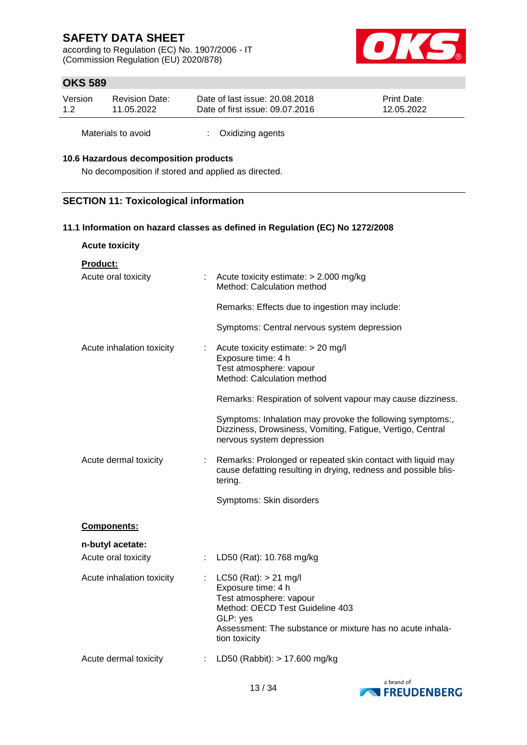according to Regulation (EC) No. 1907/2006 - IT (Commission Regulation (EU) 2020/878)



## **OKS 589**

| Version | Revision Date: | Date of last issue: 20.08.2018  | <b>Print Date:</b> |
|---------|----------------|---------------------------------|--------------------|
| 1.2     | 11.05.2022     | Date of first issue: 09.07.2016 | 12.05.2022         |

Materials to avoid : Oxidizing agents

#### **10.6 Hazardous decomposition products**

No decomposition if stored and applied as directed.

### **SECTION 11: Toxicological information**

#### **11.1 Information on hazard classes as defined in Regulation (EC) No 1272/2008**

| <b>Acute toxicity</b>     |    |                                                                                                                                                                                                         |
|---------------------------|----|---------------------------------------------------------------------------------------------------------------------------------------------------------------------------------------------------------|
| <b>Product:</b>           |    |                                                                                                                                                                                                         |
| Acute oral toxicity       |    | Acute toxicity estimate: > 2.000 mg/kg<br>Method: Calculation method                                                                                                                                    |
|                           |    | Remarks: Effects due to ingestion may include:                                                                                                                                                          |
|                           |    | Symptoms: Central nervous system depression                                                                                                                                                             |
| Acute inhalation toxicity |    | Acute toxicity estimate: > 20 mg/l<br>Exposure time: 4 h<br>Test atmosphere: vapour<br>Method: Calculation method                                                                                       |
|                           |    | Remarks: Respiration of solvent vapour may cause dizziness.                                                                                                                                             |
|                           |    | Symptoms: Inhalation may provoke the following symptoms:,<br>Dizziness, Drowsiness, Vomiting, Fatigue, Vertigo, Central<br>nervous system depression                                                    |
| Acute dermal toxicity     | ÷. | Remarks: Prolonged or repeated skin contact with liquid may<br>cause defatting resulting in drying, redness and possible blis-<br>tering.                                                               |
|                           |    | Symptoms: Skin disorders                                                                                                                                                                                |
| Components:               |    |                                                                                                                                                                                                         |
| n-butyl acetate:          |    |                                                                                                                                                                                                         |
| Acute oral toxicity       |    | : LD50 (Rat): 10.768 mg/kg                                                                                                                                                                              |
| Acute inhalation toxicity |    | $LC50$ (Rat): $> 21$ mg/l<br>Exposure time: 4 h<br>Test atmosphere: vapour<br>Method: OECD Test Guideline 403<br>GLP: yes<br>Assessment: The substance or mixture has no acute inhala-<br>tion toxicity |
| Acute dermal toxicity     |    | LD50 (Rabbit): > 17.600 mg/kg                                                                                                                                                                           |

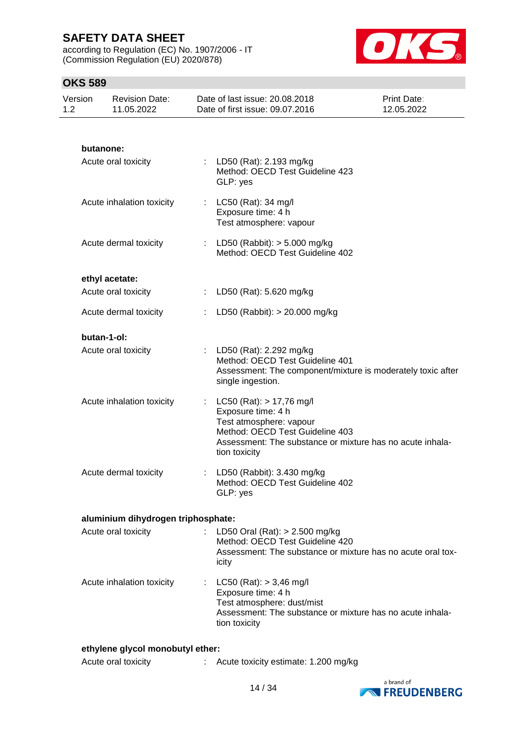according to Regulation (EC) No. 1907/2006 - IT (Commission Regulation (EU) 2020/878)



## **OKS 589**

| Version<br>1.2 | <b>Revision Date:</b><br>11.05.2022 | Date of last issue: 20.08.2018<br>Date of first issue: 09.07.2016                                                                 | Print Date:<br>12.05.2022                                   |
|----------------|-------------------------------------|-----------------------------------------------------------------------------------------------------------------------------------|-------------------------------------------------------------|
|                |                                     |                                                                                                                                   |                                                             |
|                | butanone:                           |                                                                                                                                   |                                                             |
|                | Acute oral toxicity                 | LD50 (Rat): 2.193 mg/kg<br>Method: OECD Test Guideline 423<br>GLP: yes                                                            |                                                             |
|                | Acute inhalation toxicity           | : $LC50$ (Rat): 34 mg/l<br>Exposure time: 4 h<br>Test atmosphere: vapour                                                          |                                                             |
|                | Acute dermal toxicity               | : LD50 (Rabbit): $> 5.000$ mg/kg<br>Method: OECD Test Guideline 402                                                               |                                                             |
|                | ethyl acetate:                      |                                                                                                                                   |                                                             |
|                | Acute oral toxicity                 | : LD50 (Rat): 5.620 mg/kg                                                                                                         |                                                             |
|                | Acute dermal toxicity               | LD50 (Rabbit): > 20.000 mg/kg                                                                                                     |                                                             |
|                | butan-1-ol:                         |                                                                                                                                   |                                                             |
|                | Acute oral toxicity                 | LD50 (Rat): 2.292 mg/kg<br>Method: OECD Test Guideline 401<br>single ingestion.                                                   | Assessment: The component/mixture is moderately toxic after |
|                | Acute inhalation toxicity           | : LC50 (Rat): $> 17,76$ mg/l<br>Exposure time: 4 h<br>Test atmosphere: vapour<br>Method: OECD Test Guideline 403<br>tion toxicity | Assessment: The substance or mixture has no acute inhala-   |
|                | Acute dermal toxicity               | LD50 (Rabbit): 3.430 mg/kg<br>Method: OECD Test Guideline 402<br>GLP: yes                                                         |                                                             |
|                | aluminium dihydrogen triphosphate:  |                                                                                                                                   |                                                             |
|                | Acute oral toxicity                 | : LD50 Oral (Rat): > 2.500 mg/kg<br>Method: OECD Test Guideline 420<br>icity                                                      | Assessment: The substance or mixture has no acute oral tox- |
|                | Acute inhalation toxicity           | : LC50 (Rat): $> 3,46$ mg/l<br>Exposure time: 4 h<br>Test atmosphere: dust/mist<br>tion toxicity                                  | Assessment: The substance or mixture has no acute inhala-   |

Acute oral toxicity : Acute toxicity estimate: 1.200 mg/kg

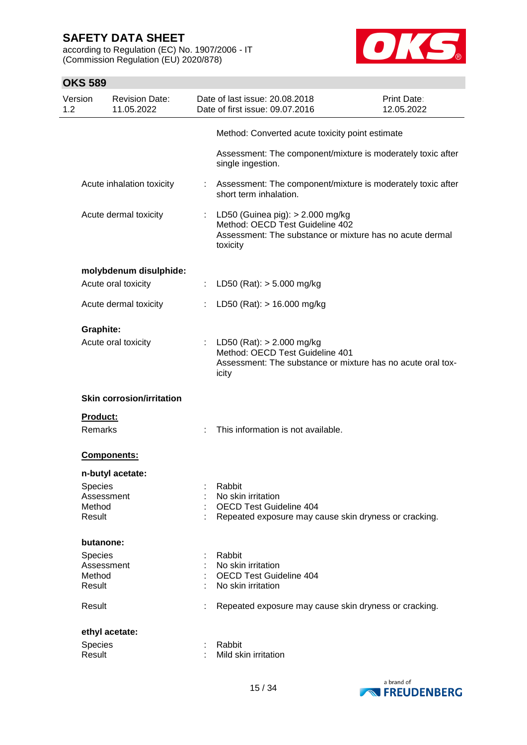according to Regulation (EC) No. 1907/2006 - IT (Commission Regulation (EU) 2020/878)



| <b>OKS 589</b> |                                                                      |    |                                                                                                                                               |                                  |
|----------------|----------------------------------------------------------------------|----|-----------------------------------------------------------------------------------------------------------------------------------------------|----------------------------------|
| Version<br>1.2 | <b>Revision Date:</b><br>11.05.2022                                  |    | Date of last issue: 20.08.2018<br>Date of first issue: 09.07.2016                                                                             | <b>Print Date:</b><br>12.05.2022 |
|                |                                                                      |    | Method: Converted acute toxicity point estimate                                                                                               |                                  |
|                |                                                                      |    | Assessment: The component/mixture is moderately toxic after<br>single ingestion.                                                              |                                  |
|                | Acute inhalation toxicity                                            |    | : Assessment: The component/mixture is moderately toxic after<br>short term inhalation.                                                       |                                  |
|                | Acute dermal toxicity                                                |    | : LD50 (Guinea pig): > 2.000 mg/kg<br>Method: OECD Test Guideline 402<br>Assessment: The substance or mixture has no acute dermal<br>toxicity |                                  |
|                | molybdenum disulphide:                                               |    |                                                                                                                                               |                                  |
|                | Acute oral toxicity                                                  |    | LD50 (Rat): $> 5.000$ mg/kg                                                                                                                   |                                  |
|                | Acute dermal toxicity                                                |    | LD50 (Rat): > 16.000 mg/kg                                                                                                                    |                                  |
|                | <b>Graphite:</b><br>Acute oral toxicity                              | ÷. | LD50 (Rat): $> 2.000$ mg/kg<br>Method: OECD Test Guideline 401<br>Assessment: The substance or mixture has no acute oral tox-<br>icity        |                                  |
|                | <b>Skin corrosion/irritation</b>                                     |    |                                                                                                                                               |                                  |
|                | Product:                                                             |    |                                                                                                                                               |                                  |
|                | Remarks                                                              |    | This information is not available.                                                                                                            |                                  |
|                | <b>Components:</b>                                                   |    |                                                                                                                                               |                                  |
|                | n-butyl acetate:<br><b>Species</b><br>Assessment<br>Method<br>Result |    | Rabbit<br>No skin irritation<br>OECD Test Guideline 404<br>Repeated exposure may cause skin dryness or cracking.                              |                                  |
|                | butanone:                                                            |    |                                                                                                                                               |                                  |
|                | Species<br>Assessment<br>Method<br>Result                            |    | Rabbit<br>No skin irritation<br><b>OECD Test Guideline 404</b><br>No skin irritation                                                          |                                  |
| Result         |                                                                      |    | Repeated exposure may cause skin dryness or cracking.                                                                                         |                                  |
|                | ethyl acetate:                                                       |    |                                                                                                                                               |                                  |
| Result         | Species                                                              |    | Rabbit<br>Mild skin irritation                                                                                                                |                                  |

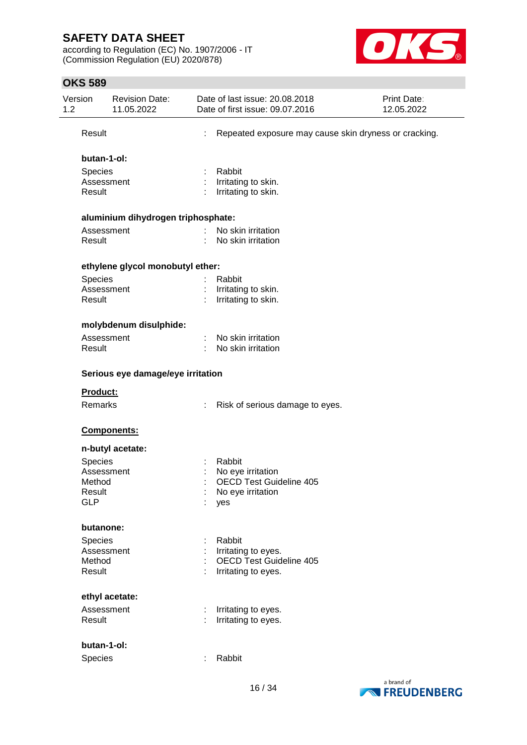according to Regulation (EC) No. 1907/2006 - IT (Commission Regulation (EU) 2020/878)



| Version<br>1.2 | <b>Revision Date:</b><br>11.05.2022 |   | Date of last issue: 20.08.2018<br>Date of first issue: 09.07.2016 | Print Date:<br>12.05.2022 |
|----------------|-------------------------------------|---|-------------------------------------------------------------------|---------------------------|
| Result         |                                     | ÷ | Repeated exposure may cause skin dryness or cracking.             |                           |
|                | butan-1-ol:                         |   |                                                                   |                           |
| <b>Species</b> |                                     |   | Rabbit                                                            |                           |
|                | Assessment                          |   | Irritating to skin.                                               |                           |
| Result         |                                     |   | Irritating to skin.                                               |                           |
|                | aluminium dihydrogen triphosphate:  |   |                                                                   |                           |
|                | Assessment                          |   | No skin irritation                                                |                           |
| Result         |                                     |   | No skin irritation                                                |                           |
|                | ethylene glycol monobutyl ether:    |   |                                                                   |                           |
| <b>Species</b> |                                     |   | Rabbit                                                            |                           |
|                | Assessment                          |   | Irritating to skin.                                               |                           |
| Result         |                                     |   | Irritating to skin.                                               |                           |
|                | molybdenum disulphide:              |   |                                                                   |                           |
|                | Assessment                          |   | No skin irritation                                                |                           |
| Result         |                                     |   | No skin irritation                                                |                           |
|                | Serious eye damage/eye irritation   |   |                                                                   |                           |
| Product:       |                                     |   |                                                                   |                           |
| Remarks        |                                     | ÷ | Risk of serious damage to eyes.                                   |                           |
|                | Components:                         |   |                                                                   |                           |
|                | n-butyl acetate:                    |   |                                                                   |                           |
| Species        |                                     |   | Rabbit                                                            |                           |
|                | Assessment                          |   | No eye irritation                                                 |                           |
| Method         |                                     |   | <b>OECD Test Guideline 405</b>                                    |                           |
| Result         |                                     |   | No eye irritation                                                 |                           |
| <b>GLP</b>     |                                     |   | yes                                                               |                           |
|                | butanone:                           |   |                                                                   |                           |
| Species        |                                     |   | Rabbit                                                            |                           |
|                | Assessment                          |   | Irritating to eyes.                                               |                           |
| Method         |                                     |   | <b>OECD Test Guideline 405</b>                                    |                           |
| Result         |                                     |   | Irritating to eyes.                                               |                           |
|                | ethyl acetate:                      |   |                                                                   |                           |
|                | Assessment                          | ÷ | Irritating to eyes.                                               |                           |
| Result         |                                     |   | Irritating to eyes.                                               |                           |
|                | butan-1-ol:                         |   |                                                                   |                           |
| Species        |                                     | ÷ | Rabbit                                                            |                           |
|                |                                     |   |                                                                   |                           |

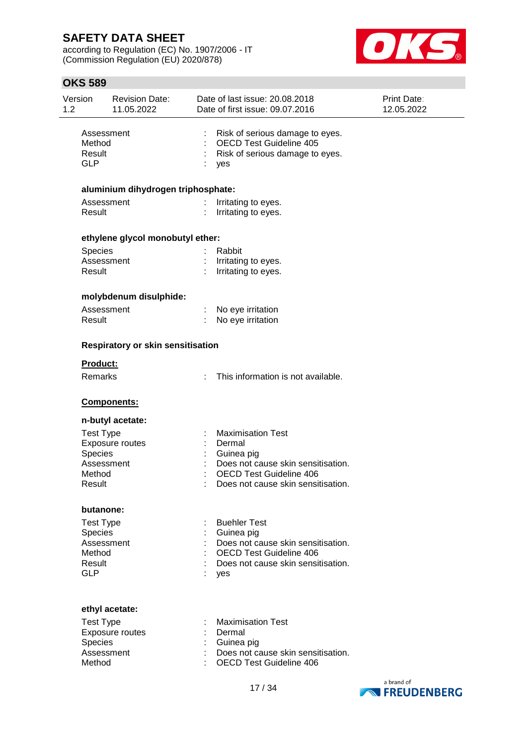according to Regulation (EC) No. 1907/2006 - IT (Commission Regulation (EU) 2020/878)



| Risk of serious damage to eyes.<br><b>OECD Test Guideline 405</b><br>Risk of serious damage to eyes.<br>yes                                                   |  |
|---------------------------------------------------------------------------------------------------------------------------------------------------------------|--|
| aluminium dihydrogen triphosphate:                                                                                                                            |  |
| Irritating to eyes.<br>Irritating to eyes.                                                                                                                    |  |
|                                                                                                                                                               |  |
| Rabbit<br>Irritating to eyes.<br>Irritating to eyes.                                                                                                          |  |
|                                                                                                                                                               |  |
| No eye irritation<br>No eye irritation                                                                                                                        |  |
|                                                                                                                                                               |  |
| This information is not available.                                                                                                                            |  |
|                                                                                                                                                               |  |
|                                                                                                                                                               |  |
| <b>Maximisation Test</b><br>Dermal<br>Guinea pig<br>Does not cause skin sensitisation.<br><b>OECD Test Guideline 406</b><br>Does not cause skin sensitisation |  |
|                                                                                                                                                               |  |
| <b>Buehler Test</b><br>Guinea pig<br>Does not cause skin sensitisation.<br><b>OECD Test Guideline 406</b><br>Does not cause skin sensitisation.<br>yes        |  |
| <b>Maximisation Test</b><br>Dermal<br>Guinea pig<br>Does not cause skin sensitisation.<br><b>OECD Test Guideline 406</b>                                      |  |
|                                                                                                                                                               |  |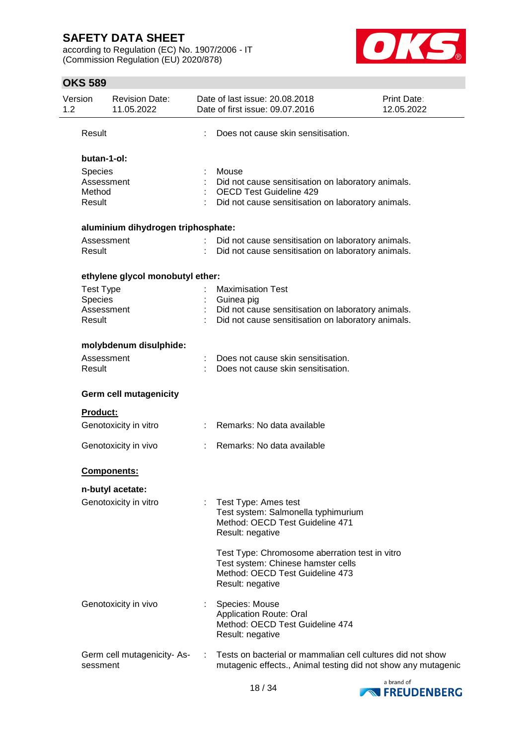according to Regulation (EC) No. 1907/2006 - IT (Commission Regulation (EU) 2020/878)



| Version<br>1.2   | <b>Revision Date:</b><br>11.05.2022 |    | Date of last issue: 20.08.2018<br>Date of first issue: 09.07.2016 | Print Date:<br>12.05.2022 |
|------------------|-------------------------------------|----|-------------------------------------------------------------------|---------------------------|
| Result           |                                     |    | Does not cause skin sensitisation.                                |                           |
|                  | butan-1-ol:                         |    |                                                                   |                           |
| <b>Species</b>   |                                     |    | Mouse                                                             |                           |
|                  | Assessment                          |    | Did not cause sensitisation on laboratory animals.                |                           |
| Method           |                                     |    | <b>OECD Test Guideline 429</b>                                    |                           |
| Result           |                                     |    | Did not cause sensitisation on laboratory animals.                |                           |
|                  | aluminium dihydrogen triphosphate:  |    |                                                                   |                           |
|                  | Assessment                          |    | Did not cause sensitisation on laboratory animals.                |                           |
| Result           |                                     |    | Did not cause sensitisation on laboratory animals.                |                           |
|                  | ethylene glycol monobutyl ether:    |    |                                                                   |                           |
| <b>Test Type</b> |                                     |    | <b>Maximisation Test</b>                                          |                           |
| Species          |                                     |    | Guinea pig                                                        |                           |
|                  | Assessment                          |    | Did not cause sensitisation on laboratory animals.                |                           |
| Result           |                                     |    | Did not cause sensitisation on laboratory animals.                |                           |
|                  | molybdenum disulphide:              |    |                                                                   |                           |
|                  | Assessment                          |    | Does not cause skin sensitisation.                                |                           |
| Result           |                                     |    | Does not cause skin sensitisation.                                |                           |
|                  | <b>Germ cell mutagenicity</b>       |    |                                                                   |                           |
| <b>Product:</b>  |                                     |    |                                                                   |                           |
|                  | Genotoxicity in vitro               |    | : Remarks: No data available                                      |                           |
|                  | Genotoxicity in vivo                |    | Remarks: No data available                                        |                           |
|                  | <b>Components:</b>                  |    |                                                                   |                           |
|                  | n-butyl acetate:                    |    |                                                                   |                           |
|                  | Genotoxicity in vitro               | t. | Test Type: Ames test                                              |                           |
|                  |                                     |    | Test system: Salmonella typhimurium                               |                           |
|                  |                                     |    | Method: OECD Test Guideline 471                                   |                           |
|                  |                                     |    | Result: negative                                                  |                           |
|                  |                                     |    | Test Type: Chromosome aberration test in vitro                    |                           |
|                  |                                     |    | Test system: Chinese hamster cells                                |                           |
|                  |                                     |    | Method: OECD Test Guideline 473                                   |                           |
|                  |                                     |    | Result: negative                                                  |                           |
|                  | Genotoxicity in vivo                |    | Species: Mouse                                                    |                           |
|                  |                                     |    | <b>Application Route: Oral</b>                                    |                           |
|                  |                                     |    | Method: OECD Test Guideline 474                                   |                           |
|                  |                                     |    | Result: negative                                                  |                           |
|                  | Germ cell mutagenicity-As-          |    | Tests on bacterial or mammalian cell cultures did not show        |                           |
| sessment         |                                     |    | mutagenic effects., Animal testing did not show any mutagenic     |                           |

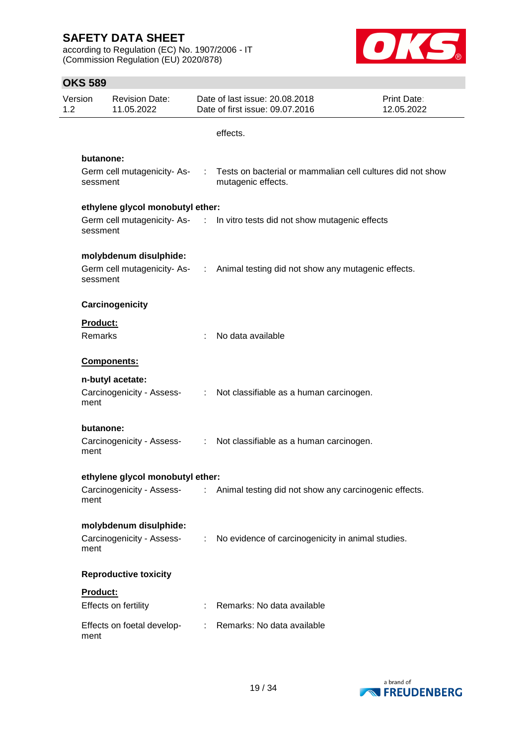according to Regulation (EC) No. 1907/2006 - IT (Commission Regulation (EU) 2020/878)



| Version<br>1.2 | <b>Revision Date:</b><br>11.05.2022                   |  | Date of last issue: 20.08.2018<br>Date of first issue: 09.07.2016                                              | Print Date:<br>12.05.2022 |
|----------------|-------------------------------------------------------|--|----------------------------------------------------------------------------------------------------------------|---------------------------|
|                |                                                       |  | effects.                                                                                                       |                           |
|                | butanone:                                             |  |                                                                                                                |                           |
|                | sessment                                              |  | Germ cell mutagenicity- As- : Tests on bacterial or mammalian cell cultures did not show<br>mutagenic effects. |                           |
|                | ethylene glycol monobutyl ether:                      |  |                                                                                                                |                           |
|                | sessment                                              |  | Germ cell mutagenicity-As- : In vitro tests did not show mutagenic effects                                     |                           |
|                | molybdenum disulphide:                                |  |                                                                                                                |                           |
|                | sessment                                              |  | Germ cell mutagenicity-As- : Animal testing did not show any mutagenic effects.                                |                           |
|                | Carcinogenicity                                       |  |                                                                                                                |                           |
|                | Product:                                              |  |                                                                                                                |                           |
|                | Remarks                                               |  | No data available                                                                                              |                           |
|                | <b>Components:</b>                                    |  |                                                                                                                |                           |
|                | n-butyl acetate:<br>Carcinogenicity - Assess-<br>ment |  | : Not classifiable as a human carcinogen.                                                                      |                           |
|                | butanone:                                             |  |                                                                                                                |                           |
|                | ment                                                  |  | Carcinogenicity - Assess- : Not classifiable as a human carcinogen.                                            |                           |
|                | ethylene glycol monobutyl ether:                      |  |                                                                                                                |                           |
|                | ment                                                  |  | Carcinogenicity - Assess- : Animal testing did not show any carcinogenic effects.                              |                           |
|                | molybdenum disulphide:                                |  |                                                                                                                |                           |
|                | Carcinogenicity - Assess-<br>ment                     |  | : No evidence of carcinogenicity in animal studies.                                                            |                           |
|                | <b>Reproductive toxicity</b>                          |  |                                                                                                                |                           |
|                | Product:                                              |  |                                                                                                                |                           |
|                | Effects on fertility                                  |  | Remarks: No data available                                                                                     |                           |
|                | Effects on foetal develop-<br>ment                    |  | Remarks: No data available                                                                                     |                           |

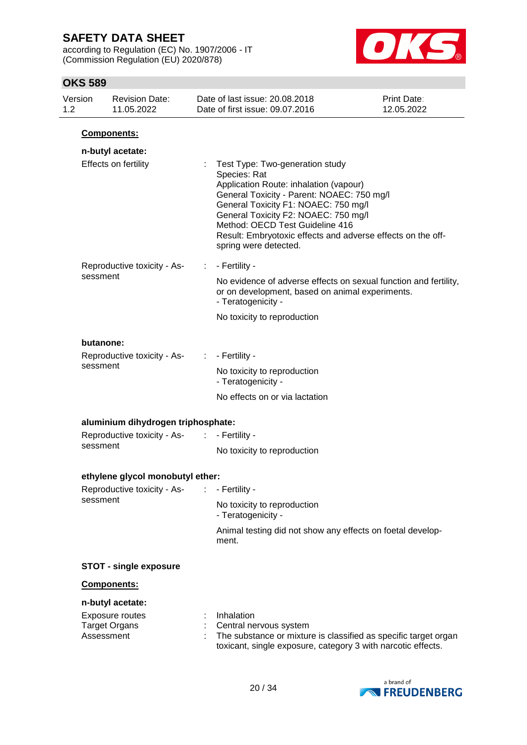according to Regulation (EC) No. 1907/2006 - IT (Commission Regulation (EU) 2020/878)



|     | שטט טווט                    |                                                |               |                                                                                                                                                                                                                                                                                                                                                    |                           |
|-----|-----------------------------|------------------------------------------------|---------------|----------------------------------------------------------------------------------------------------------------------------------------------------------------------------------------------------------------------------------------------------------------------------------------------------------------------------------------------------|---------------------------|
| 1.2 | Version                     | <b>Revision Date:</b><br>11.05.2022            |               | Date of last issue: 20.08.2018<br>Date of first issue: 09.07.2016                                                                                                                                                                                                                                                                                  | Print Date:<br>12.05.2022 |
|     |                             | Components:                                    |               |                                                                                                                                                                                                                                                                                                                                                    |                           |
|     |                             | n-butyl acetate:                               |               |                                                                                                                                                                                                                                                                                                                                                    |                           |
|     |                             | Effects on fertility                           |               | Test Type: Two-generation study<br>Species: Rat<br>Application Route: inhalation (vapour)<br>General Toxicity - Parent: NOAEC: 750 mg/l<br>General Toxicity F1: NOAEC: 750 mg/l<br>General Toxicity F2: NOAEC: 750 mg/l<br>Method: OECD Test Guideline 416<br>Result: Embryotoxic effects and adverse effects on the off-<br>spring were detected. |                           |
|     |                             | Reproductive toxicity - As-                    | ÷.            | - Fertility -                                                                                                                                                                                                                                                                                                                                      |                           |
|     | sessment                    |                                                |               | No evidence of adverse effects on sexual function and fertility,<br>or on development, based on animal experiments.<br>- Teratogenicity -                                                                                                                                                                                                          |                           |
|     |                             |                                                |               | No toxicity to reproduction                                                                                                                                                                                                                                                                                                                        |                           |
|     | butanone:                   |                                                |               |                                                                                                                                                                                                                                                                                                                                                    |                           |
|     | Reproductive toxicity - As- | ÷.                                             | - Fertility - |                                                                                                                                                                                                                                                                                                                                                    |                           |
|     |                             | sessment                                       |               | No toxicity to reproduction<br>- Teratogenicity -                                                                                                                                                                                                                                                                                                  |                           |
|     |                             |                                                |               | No effects on or via lactation                                                                                                                                                                                                                                                                                                                     |                           |
|     |                             | aluminium dihydrogen triphosphate:             |               |                                                                                                                                                                                                                                                                                                                                                    |                           |
|     |                             | Reproductive toxicity - As-                    | ÷.            | - Fertility -                                                                                                                                                                                                                                                                                                                                      |                           |
|     | sessment                    |                                                |               | No toxicity to reproduction                                                                                                                                                                                                                                                                                                                        |                           |
|     |                             | ethylene glycol monobutyl ether:               |               |                                                                                                                                                                                                                                                                                                                                                    |                           |
|     |                             | Reproductive toxicity - As-                    |               | - Fertility -                                                                                                                                                                                                                                                                                                                                      |                           |
|     |                             | sessment                                       |               | No toxicity to reproduction<br>- Teratogenicity -                                                                                                                                                                                                                                                                                                  |                           |
|     |                             |                                                |               | Animal testing did not show any effects on foetal develop-<br>ment.                                                                                                                                                                                                                                                                                |                           |
|     |                             | <b>STOT - single exposure</b>                  |               |                                                                                                                                                                                                                                                                                                                                                    |                           |
|     |                             | Components:                                    |               |                                                                                                                                                                                                                                                                                                                                                    |                           |
|     |                             | n-butyl acetate:                               |               |                                                                                                                                                                                                                                                                                                                                                    |                           |
|     | Assessment                  | <b>Exposure routes</b><br><b>Target Organs</b> |               | Inhalation<br>Central nervous system<br>The substance or mixture is classified as specific target organ<br>toxicant, single exposure, category 3 with narcotic effects.                                                                                                                                                                            |                           |

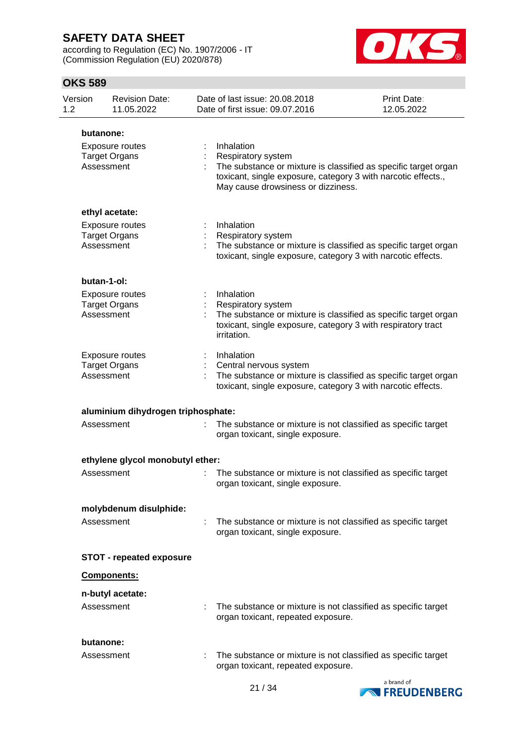according to Regulation (EC) No. 1907/2006 - IT (Commission Regulation (EU) 2020/878)



| Version<br>1.2 |                         | <b>Revision Date:</b><br>11.05.2022     | Date of last issue: 20.08.2018<br>Date of first issue: 09.07.2016                                                                                                                                          | Print Date:<br>12.05.2022 |
|----------------|-------------------------|-----------------------------------------|------------------------------------------------------------------------------------------------------------------------------------------------------------------------------------------------------------|---------------------------|
|                | butanone:               |                                         |                                                                                                                                                                                                            |                           |
|                | Assessment              | Exposure routes<br><b>Target Organs</b> | Inhalation<br>Respiratory system<br>The substance or mixture is classified as specific target organ<br>toxicant, single exposure, category 3 with narcotic effects.,<br>May cause drowsiness or dizziness. |                           |
|                |                         | ethyl acetate:                          |                                                                                                                                                                                                            |                           |
|                | Assessment              | Exposure routes<br><b>Target Organs</b> | Inhalation<br>Respiratory system<br>The substance or mixture is classified as specific target organ<br>toxicant, single exposure, category 3 with narcotic effects.                                        |                           |
|                | butan-1-ol:             |                                         |                                                                                                                                                                                                            |                           |
|                | Assessment              | Exposure routes<br><b>Target Organs</b> | Inhalation<br>Respiratory system<br>The substance or mixture is classified as specific target organ<br>toxicant, single exposure, category 3 with respiratory tract<br>irritation.                         |                           |
|                | Assessment              | Exposure routes<br><b>Target Organs</b> | Inhalation<br>Central nervous system<br>The substance or mixture is classified as specific target organ<br>toxicant, single exposure, category 3 with narcotic effects.                                    |                           |
|                |                         | aluminium dihydrogen triphosphate:      |                                                                                                                                                                                                            |                           |
|                | Assessment              |                                         | The substance or mixture is not classified as specific target<br>organ toxicant, single exposure.                                                                                                          |                           |
|                |                         | ethylene glycol monobutyl ether:        |                                                                                                                                                                                                            |                           |
|                | Assessment              |                                         | The substance or mixture is not classified as specific target<br>organ toxicant, single exposure.                                                                                                          |                           |
|                |                         | molybdenum disulphide:                  |                                                                                                                                                                                                            |                           |
|                | Assessment              |                                         | The substance or mixture is not classified as specific target<br>organ toxicant, single exposure.                                                                                                          |                           |
|                |                         | <b>STOT - repeated exposure</b>         |                                                                                                                                                                                                            |                           |
|                |                         | Components:                             |                                                                                                                                                                                                            |                           |
|                | Assessment              | n-butyl acetate:                        | The substance or mixture is not classified as specific target<br>organ toxicant, repeated exposure.                                                                                                        |                           |
|                | butanone:<br>Assessment |                                         | The substance or mixture is not classified as specific target<br>organ toxicant, repeated exposure.                                                                                                        |                           |

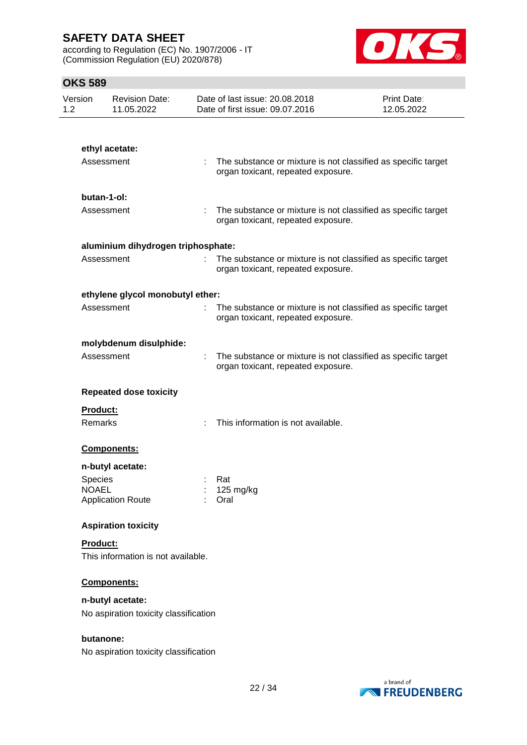according to Regulation (EC) No. 1907/2006 - IT (Commission Regulation (EU) 2020/878)



| Version<br>1.2 | <b>Revision Date:</b><br>11.05.2022                        | Date of last issue: 20.08.2018<br>Date of first issue: 09.07.2016 | Print Date:<br>12.05.2022                                       |
|----------------|------------------------------------------------------------|-------------------------------------------------------------------|-----------------------------------------------------------------|
|                |                                                            |                                                                   |                                                                 |
|                | ethyl acetate:                                             |                                                                   |                                                                 |
|                | Assessment                                                 | organ toxicant, repeated exposure.                                | The substance or mixture is not classified as specific target   |
|                | butan-1-ol:                                                |                                                                   |                                                                 |
|                | Assessment                                                 | ÷.<br>organ toxicant, repeated exposure.                          | The substance or mixture is not classified as specific target   |
|                | aluminium dihydrogen triphosphate:                         |                                                                   |                                                                 |
|                | Assessment                                                 | organ toxicant, repeated exposure.                                | : The substance or mixture is not classified as specific target |
|                | ethylene glycol monobutyl ether:                           |                                                                   |                                                                 |
|                | Assessment                                                 | organ toxicant, repeated exposure.                                | The substance or mixture is not classified as specific target   |
|                | molybdenum disulphide:                                     |                                                                   |                                                                 |
|                | Assessment                                                 | organ toxicant, repeated exposure.                                | The substance or mixture is not classified as specific target   |
|                | <b>Repeated dose toxicity</b>                              |                                                                   |                                                                 |
|                | Product:                                                   |                                                                   |                                                                 |
|                | Remarks                                                    | This information is not available.                                |                                                                 |
|                | Components:                                                |                                                                   |                                                                 |
|                | n-butyl acetate:                                           |                                                                   |                                                                 |
|                | <b>Species</b><br><b>NOAEL</b><br><b>Application Route</b> | Rat<br>125 mg/kg<br>Oral                                          |                                                                 |
|                | <b>Aspiration toxicity</b>                                 |                                                                   |                                                                 |
|                | Product:<br>This information is not available.             |                                                                   |                                                                 |
|                | Components:                                                |                                                                   |                                                                 |
|                | n-butyl acetate:                                           |                                                                   |                                                                 |
|                | No aspiration toxicity classification                      |                                                                   |                                                                 |
|                | butanone:                                                  |                                                                   |                                                                 |
|                | No aspiration toxicity classification                      |                                                                   |                                                                 |

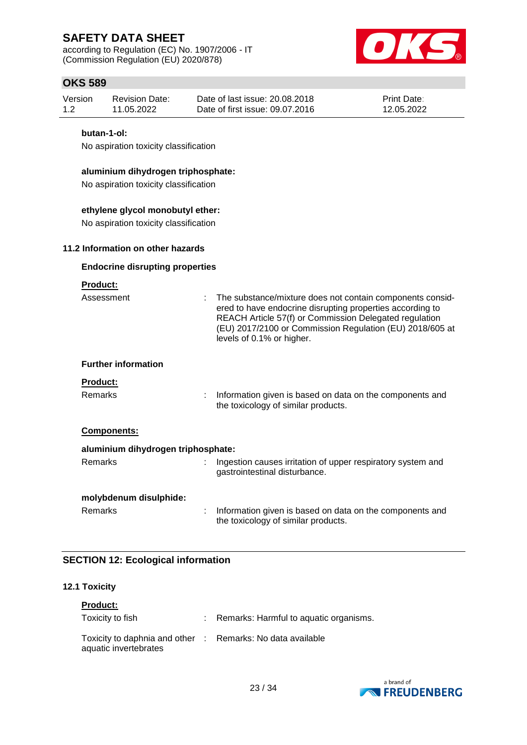according to Regulation (EC) No. 1907/2006 - IT (Commission Regulation (EU) 2020/878)



## **OKS 589**

| Version<br>1.2                                                              | <b>Revision Date:</b><br>11.05.2022                  | Date of last issue: 20.08.2018<br>Date of first issue: 09.07.2016 | <b>Print Date:</b><br>12.05.2022 |  |  |  |  |
|-----------------------------------------------------------------------------|------------------------------------------------------|-------------------------------------------------------------------|----------------------------------|--|--|--|--|
|                                                                             | butan-1-ol:<br>No aspiration toxicity classification |                                                                   |                                  |  |  |  |  |
| aluminium dihydrogen triphosphate:<br>No aspiration toxicity classification |                                                      |                                                                   |                                  |  |  |  |  |
| ethylene glycol monobutyl ether:                                            |                                                      |                                                                   |                                  |  |  |  |  |

No aspiration toxicity classification

#### **11.2 Information on other hazards**

#### **Endocrine disrupting properties**

### **Product:**

| Assessment                         | : The substance/mixture does not contain components consid-<br>ered to have endocrine disrupting properties according to<br>REACH Article 57(f) or Commission Delegated regulation<br>(EU) 2017/2100 or Commission Regulation (EU) 2018/605 at<br>levels of 0.1% or higher. |
|------------------------------------|-----------------------------------------------------------------------------------------------------------------------------------------------------------------------------------------------------------------------------------------------------------------------------|
| <b>Further information</b>         |                                                                                                                                                                                                                                                                             |
| <b>Product:</b><br><b>Remarks</b>  | Information given is based on data on the components and<br>the toxicology of similar products.                                                                                                                                                                             |
| <b>Components:</b>                 |                                                                                                                                                                                                                                                                             |
| aluminium dihydrogen triphosphate: |                                                                                                                                                                                                                                                                             |
| <b>Remarks</b>                     | Ingestion causes irritation of upper respiratory system and<br>gastrointestinal disturbance.                                                                                                                                                                                |
| molybdenum disulphide:             |                                                                                                                                                                                                                                                                             |
| Remarks                            | Information given is based on data on the components and                                                                                                                                                                                                                    |

the toxicology of similar products.

### **SECTION 12: Ecological information**

#### **12.1 Toxicity**

| <b>Product:</b>                                                                     |                                          |
|-------------------------------------------------------------------------------------|------------------------------------------|
| Toxicity to fish                                                                    | : Remarks: Harmful to aquatic organisms. |
| Toxicity to daphnia and other : Remarks: No data available<br>aquatic invertebrates |                                          |

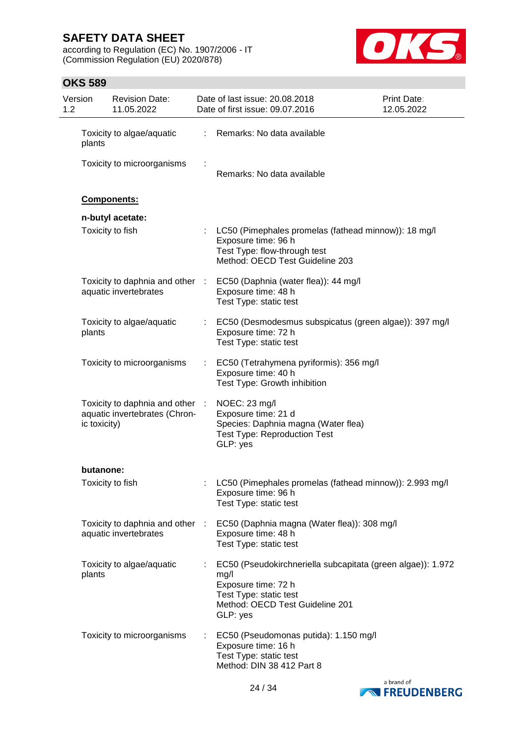according to Regulation (EC) No. 1907/2006 - IT (Commission Regulation (EU) 2020/878)



| Version<br>1.2 |                    | <b>Revision Date:</b><br>11.05.2022                              |    | Date of last issue: 20.08.2018<br>Date of first issue: 09.07.2016                                                                                                   | Print Date:<br>12.05.2022 |
|----------------|--------------------|------------------------------------------------------------------|----|---------------------------------------------------------------------------------------------------------------------------------------------------------------------|---------------------------|
|                | plants             | Toxicity to algae/aquatic                                        |    | Remarks: No data available                                                                                                                                          |                           |
|                |                    | Toxicity to microorganisms                                       |    | Remarks: No data available                                                                                                                                          |                           |
|                | <b>Components:</b> |                                                                  |    |                                                                                                                                                                     |                           |
|                |                    | n-butyl acetate:                                                 |    |                                                                                                                                                                     |                           |
|                | Toxicity to fish   |                                                                  | ÷  | LC50 (Pimephales promelas (fathead minnow)): 18 mg/l<br>Exposure time: 96 h<br>Test Type: flow-through test<br>Method: OECD Test Guideline 203                      |                           |
|                |                    | Toxicity to daphnia and other :<br>aquatic invertebrates         |    | EC50 (Daphnia (water flea)): 44 mg/l<br>Exposure time: 48 h<br>Test Type: static test                                                                               |                           |
|                | plants             | Toxicity to algae/aquatic                                        | ÷. | EC50 (Desmodesmus subspicatus (green algae)): 397 mg/l<br>Exposure time: 72 h<br>Test Type: static test                                                             |                           |
|                |                    | Toxicity to microorganisms                                       |    | EC50 (Tetrahymena pyriformis): 356 mg/l<br>Exposure time: 40 h<br>Test Type: Growth inhibition                                                                      |                           |
|                | ic toxicity)       | Toxicity to daphnia and other :<br>aquatic invertebrates (Chron- |    | NOEC: 23 mg/l<br>Exposure time: 21 d<br>Species: Daphnia magna (Water flea)<br><b>Test Type: Reproduction Test</b><br>GLP: yes                                      |                           |
|                | butanone:          |                                                                  |    |                                                                                                                                                                     |                           |
|                | Toxicity to fish   |                                                                  |    | LC50 (Pimephales promelas (fathead minnow)): 2.993 mg/l<br>Exposure time: 96 h<br>Test Type: static test                                                            |                           |
|                |                    | Toxicity to daphnia and other :<br>aquatic invertebrates         |    | EC50 (Daphnia magna (Water flea)): 308 mg/l<br>Exposure time: 48 h<br>Test Type: static test                                                                        |                           |
|                | plants             | Toxicity to algae/aquatic                                        |    | EC50 (Pseudokirchneriella subcapitata (green algae)): 1.972<br>mg/l<br>Exposure time: 72 h<br>Test Type: static test<br>Method: OECD Test Guideline 201<br>GLP: yes |                           |
|                |                    | Toxicity to microorganisms                                       |    | EC50 (Pseudomonas putida): 1.150 mg/l<br>Exposure time: 16 h<br>Test Type: static test<br>Method: DIN 38 412 Part 8                                                 |                           |

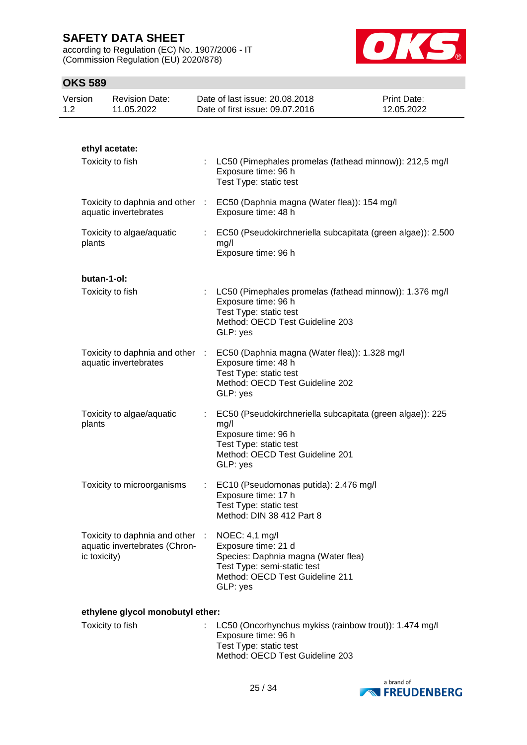according to Regulation (EC) No. 1907/2006 - IT (Commission Regulation (EU) 2020/878)



## **OKS 589**

| Version<br>1.2 |              | <b>Revision Date:</b><br>11.05.2022                            | Date of last issue: 20.08.2018<br>Date of first issue: 09.07.2016                                                                                                 | Print Date:<br>12.05.2022 |
|----------------|--------------|----------------------------------------------------------------|-------------------------------------------------------------------------------------------------------------------------------------------------------------------|---------------------------|
|                |              |                                                                |                                                                                                                                                                   |                           |
|                |              | ethyl acetate:                                                 |                                                                                                                                                                   |                           |
|                |              | Toxicity to fish                                               | LC50 (Pimephales promelas (fathead minnow)): 212,5 mg/l<br>Exposure time: 96 h<br>Test Type: static test                                                          |                           |
|                |              | Toxicity to daphnia and other :<br>aquatic invertebrates       | EC50 (Daphnia magna (Water flea)): 154 mg/l<br>Exposure time: 48 h                                                                                                |                           |
|                | plants       | Toxicity to algae/aquatic                                      | EC50 (Pseudokirchneriella subcapitata (green algae)): 2.500<br>mg/l<br>Exposure time: 96 h                                                                        |                           |
|                | butan-1-ol:  |                                                                |                                                                                                                                                                   |                           |
|                |              | Toxicity to fish                                               | LC50 (Pimephales promelas (fathead minnow)): 1.376 mg/l<br>Exposure time: 96 h<br>Test Type: static test<br>Method: OECD Test Guideline 203<br>GLP: yes           |                           |
|                |              | Toxicity to daphnia and other :<br>aquatic invertebrates       | EC50 (Daphnia magna (Water flea)): 1.328 mg/l<br>Exposure time: 48 h<br>Test Type: static test<br>Method: OECD Test Guideline 202<br>GLP: yes                     |                           |
|                | plants       | Toxicity to algae/aquatic                                      | EC50 (Pseudokirchneriella subcapitata (green algae)): 225<br>mg/l<br>Exposure time: 96 h<br>Test Type: static test<br>Method: OECD Test Guideline 201<br>GLP: yes |                           |
|                |              | Toxicity to microorganisms                                     | EC10 (Pseudomonas putida): 2.476 mg/l<br>Exposure time: 17 h<br>Test Type: static test<br>Method: DIN 38 412 Part 8                                               |                           |
|                | ic toxicity) | Toxicity to daphnia and other<br>aquatic invertebrates (Chron- | NOEC: 4,1 mg/l<br>Exposure time: 21 d<br>Species: Daphnia magna (Water flea)<br>Test Type: semi-static test<br>Method: OECD Test Guideline 211<br>GLP: yes        |                           |
|                |              | ethylene glycol monobutyl ether:                               |                                                                                                                                                                   |                           |
|                |              | Toxicity to fish                                               | LC50 (Oncorhynchus mykiss (rainbow trout)): 1.474 mg/l<br>Exposure time: 96 h                                                                                     |                           |



Method: OECD Test Guideline 203

Test Type: static test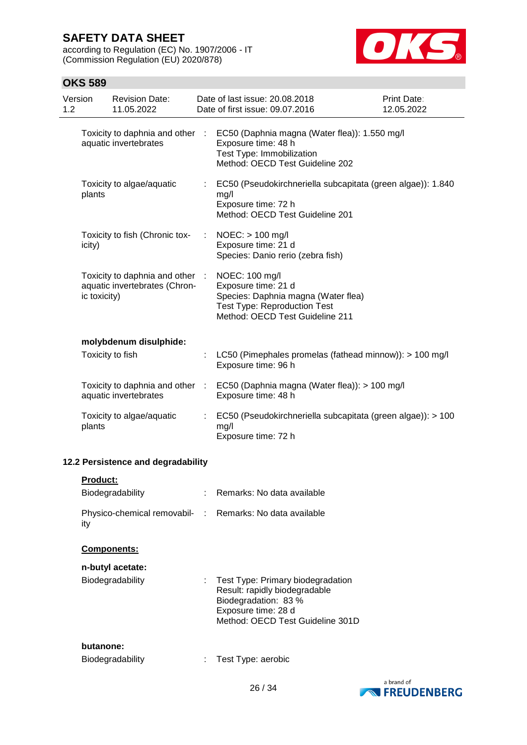according to Regulation (EC) No. 1907/2006 - IT (Commission Regulation (EU) 2020/878)



| Version<br>1.2 |                 | <b>Revision Date:</b><br>11.05.2022                              |   | Date of last issue: 20.08.2018<br>Date of first issue: 09.07.2016                                                                                      | Print Date:<br>12.05.2022 |
|----------------|-----------------|------------------------------------------------------------------|---|--------------------------------------------------------------------------------------------------------------------------------------------------------|---------------------------|
|                |                 | Toxicity to daphnia and other :<br>aquatic invertebrates         |   | EC50 (Daphnia magna (Water flea)): 1.550 mg/l<br>Exposure time: 48 h<br>Test Type: Immobilization<br>Method: OECD Test Guideline 202                   |                           |
|                | plants          | Toxicity to algae/aquatic                                        |   | EC50 (Pseudokirchneriella subcapitata (green algae)): 1.840<br>mg/l<br>Exposure time: 72 h<br>Method: OECD Test Guideline 201                          |                           |
|                | icity)          | Toxicity to fish (Chronic tox-                                   | ÷ | $NOEC:$ > 100 mg/l<br>Exposure time: 21 d<br>Species: Danio rerio (zebra fish)                                                                         |                           |
|                | ic toxicity)    | Toxicity to daphnia and other :<br>aquatic invertebrates (Chron- |   | NOEC: 100 mg/l<br>Exposure time: 21 d<br>Species: Daphnia magna (Water flea)<br><b>Test Type: Reproduction Test</b><br>Method: OECD Test Guideline 211 |                           |
|                |                 | molybdenum disulphide:                                           |   |                                                                                                                                                        |                           |
|                |                 | Toxicity to fish                                                 |   | LC50 (Pimephales promelas (fathead minnow)): > 100 mg/l<br>Exposure time: 96 h                                                                         |                           |
|                |                 | Toxicity to daphnia and other :<br>aquatic invertebrates         |   | EC50 (Daphnia magna (Water flea)): > 100 mg/l<br>Exposure time: 48 h                                                                                   |                           |
|                | plants          | Toxicity to algae/aquatic                                        |   | EC50 (Pseudokirchneriella subcapitata (green algae)): > 100<br>mg/l<br>Exposure time: 72 h                                                             |                           |
|                |                 | 12.2 Persistence and degradability                               |   |                                                                                                                                                        |                           |
|                | <b>Product:</b> |                                                                  |   |                                                                                                                                                        |                           |
|                |                 | Biodegradability                                                 |   | Remarks: No data available                                                                                                                             |                           |
|                | ity             |                                                                  |   | Physico-chemical removabil- : Remarks: No data available                                                                                               |                           |
|                |                 | Components:                                                      |   |                                                                                                                                                        |                           |
|                |                 | n-butyl acetate:                                                 |   |                                                                                                                                                        |                           |
|                |                 | Biodegradability                                                 |   | Test Type: Primary biodegradation<br>Result: rapidly biodegradable<br>Biodegradation: 83 %<br>Exposure time: 28 d<br>Method: OECD Test Guideline 301D  |                           |
|                | butanone:       | Biodegradability                                                 |   | Test Type: aerobic                                                                                                                                     |                           |

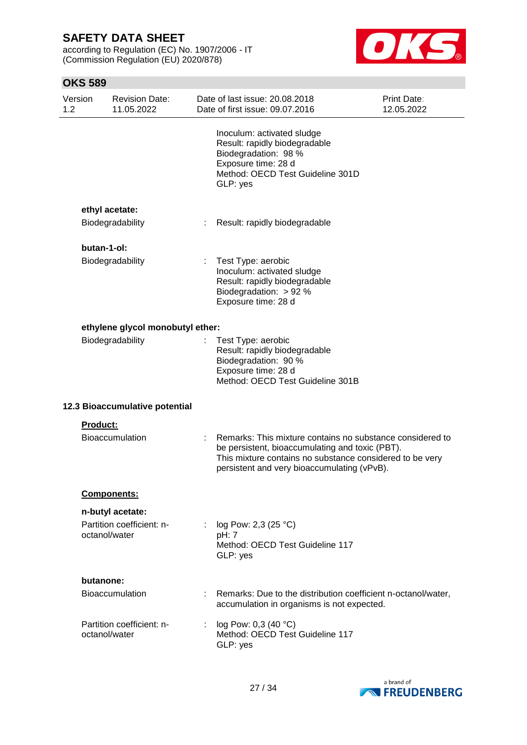according to Regulation (EC) No. 1907/2006 - IT (Commission Regulation (EU) 2020/878)



| Version<br>1.2 | <b>Revision Date:</b><br>11.05.2022                            |   | Date of last issue: 20.08.2018<br>Date of first issue: 09.07.2016                                                                                                                                                       | Print Date:<br>12.05.2022 |
|----------------|----------------------------------------------------------------|---|-------------------------------------------------------------------------------------------------------------------------------------------------------------------------------------------------------------------------|---------------------------|
|                |                                                                |   | Inoculum: activated sludge<br>Result: rapidly biodegradable<br>Biodegradation: 98 %<br>Exposure time: 28 d<br>Method: OECD Test Guideline 301D<br>GLP: yes                                                              |                           |
|                | ethyl acetate:                                                 |   |                                                                                                                                                                                                                         |                           |
|                | Biodegradability                                               |   | Result: rapidly biodegradable                                                                                                                                                                                           |                           |
|                | butan-1-ol:                                                    |   |                                                                                                                                                                                                                         |                           |
|                | Biodegradability                                               |   | Test Type: aerobic<br>Inoculum: activated sludge<br>Result: rapidly biodegradable<br>Biodegradation: $> 92 %$<br>Exposure time: 28 d                                                                                    |                           |
|                | ethylene glycol monobutyl ether:                               |   |                                                                                                                                                                                                                         |                           |
|                | Biodegradability                                               |   | Test Type: aerobic<br>Result: rapidly biodegradable<br>Biodegradation: 90 %<br>Exposure time: 28 d<br>Method: OECD Test Guideline 301B                                                                                  |                           |
|                | 12.3 Bioaccumulative potential                                 |   |                                                                                                                                                                                                                         |                           |
|                | Product:                                                       |   |                                                                                                                                                                                                                         |                           |
|                | <b>Bioaccumulation</b>                                         |   | Remarks: This mixture contains no substance considered to<br>be persistent, bioaccumulating and toxic (PBT).<br>This mixture contains no substance considered to be very<br>persistent and very bioaccumulating (vPvB). |                           |
|                | Components:                                                    |   |                                                                                                                                                                                                                         |                           |
|                | n-butyl acetate:<br>Partition coefficient: n-<br>octanol/water |   | log Pow: 2,3 (25 °C)<br>pH: 7<br>Method: OECD Test Guideline 117<br>GLP: yes                                                                                                                                            |                           |
|                | butanone:                                                      |   |                                                                                                                                                                                                                         |                           |
|                | <b>Bioaccumulation</b>                                         |   | Remarks: Due to the distribution coefficient n-octanol/water,<br>accumulation in organisms is not expected.                                                                                                             |                           |
|                | Partition coefficient: n-<br>octanol/water                     | ÷ | log Pow: $0,3$ (40 °C)<br>Method: OECD Test Guideline 117<br>GLP: yes                                                                                                                                                   |                           |

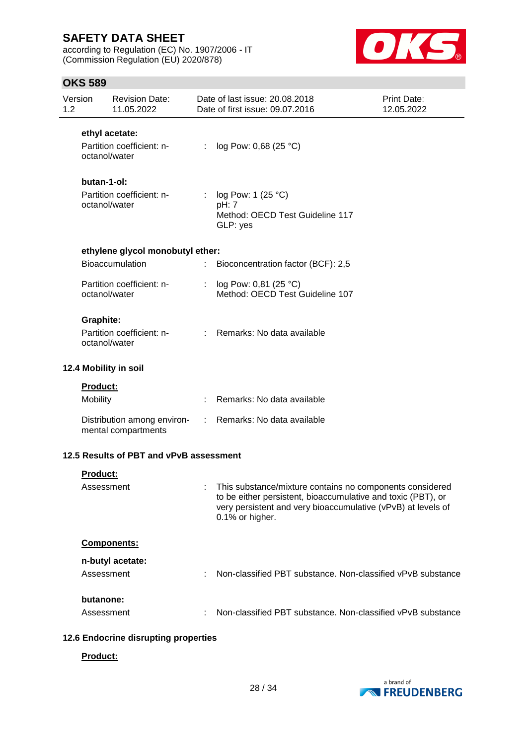according to Regulation (EC) No. 1907/2006 - IT (Commission Regulation (EU) 2020/878)



### **OKS 589**

| Version<br>1.2 |                  | <b>Revision Date:</b><br>11.05.2022     |                           | Date of last issue: 20.08.2018<br>Date of first issue: 09.07.2016                                                                                                                                           | <b>Print Date:</b><br>12.05.2022 |
|----------------|------------------|-----------------------------------------|---------------------------|-------------------------------------------------------------------------------------------------------------------------------------------------------------------------------------------------------------|----------------------------------|
|                |                  | ethyl acetate:                          |                           |                                                                                                                                                                                                             |                                  |
|                | octanol/water    | Partition coefficient: n-               | t.                        | log Pow: 0,68 (25 °C)                                                                                                                                                                                       |                                  |
|                | butan-1-ol:      |                                         |                           |                                                                                                                                                                                                             |                                  |
|                | octanol/water    | Partition coefficient: n-               | $\mathbb{R}^{\mathbb{Z}}$ | log Pow: 1 (25 °C)<br>pH: 7<br>Method: OECD Test Guideline 117<br>GLP: yes                                                                                                                                  |                                  |
|                |                  | ethylene glycol monobutyl ether:        |                           |                                                                                                                                                                                                             |                                  |
|                |                  | <b>Bioaccumulation</b>                  | ÷.                        | Bioconcentration factor (BCF): 2,5                                                                                                                                                                          |                                  |
|                | octanol/water    | Partition coefficient: n-               |                           | : $log Pow: 0,81 (25 °C)$<br>Method: OECD Test Guideline 107                                                                                                                                                |                                  |
|                | <b>Graphite:</b> |                                         |                           |                                                                                                                                                                                                             |                                  |
|                | octanol/water    | Partition coefficient: n-               |                           | : Remarks: No data available                                                                                                                                                                                |                                  |
|                |                  | 12.4 Mobility in soil                   |                           |                                                                                                                                                                                                             |                                  |
|                | <b>Product:</b>  |                                         |                           |                                                                                                                                                                                                             |                                  |
|                | Mobility         |                                         |                           | Remarks: No data available                                                                                                                                                                                  |                                  |
|                |                  | mental compartments                     |                           | Distribution among environ- : Remarks: No data available                                                                                                                                                    |                                  |
|                |                  | 12.5 Results of PBT and vPvB assessment |                           |                                                                                                                                                                                                             |                                  |
|                | Product:         |                                         |                           |                                                                                                                                                                                                             |                                  |
|                | Assessment       |                                         |                           | This substance/mixture contains no components considered<br>to be either persistent, bioaccumulative and toxic (PBT), or<br>very persistent and very bioaccumulative (vPvB) at levels of<br>0.1% or higher. |                                  |
|                |                  | Components:                             |                           |                                                                                                                                                                                                             |                                  |
|                |                  | n-butyl acetate:                        |                           |                                                                                                                                                                                                             |                                  |
|                | Assessment       |                                         |                           | Non-classified PBT substance. Non-classified vPvB substance                                                                                                                                                 |                                  |
|                | butanone:        |                                         |                           |                                                                                                                                                                                                             |                                  |
|                | Assessment       |                                         |                           | Non-classified PBT substance. Non-classified vPvB substance                                                                                                                                                 |                                  |
|                |                  |                                         |                           |                                                                                                                                                                                                             |                                  |

### **12.6 Endocrine disrupting properties**

#### **Product:**

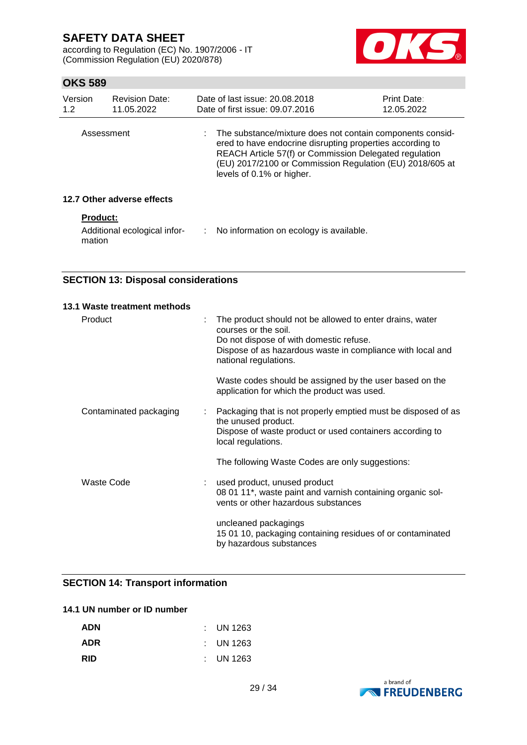according to Regulation (EC) No. 1907/2006 - IT (Commission Regulation (EU) 2020/878)



### **OKS 589**

| Version<br>1.2  | <b>Revision Date:</b><br>11.05.2022 | Date of last issue: 20.08.2018<br>Date of first issue: 09.07.2016                                                                                                                                                                                                         | <b>Print Date:</b><br>12.05.2022 |
|-----------------|-------------------------------------|---------------------------------------------------------------------------------------------------------------------------------------------------------------------------------------------------------------------------------------------------------------------------|----------------------------------|
| Assessment      |                                     | The substance/mixture does not contain components consid-<br>ered to have endocrine disrupting properties according to<br>REACH Article 57(f) or Commission Delegated regulation<br>(EU) 2017/2100 or Commission Regulation (EU) 2018/605 at<br>levels of 0.1% or higher. |                                  |
|                 | 12.7 Other adverse effects          |                                                                                                                                                                                                                                                                           |                                  |
| <b>Product:</b> |                                     |                                                                                                                                                                                                                                                                           |                                  |

mation

Additional ecological infor-: No information on ecology is available.

## **SECTION 13: Disposal considerations**

| 13.1 Waste treatment methods |   |                                                                                                                                                                                                                    |
|------------------------------|---|--------------------------------------------------------------------------------------------------------------------------------------------------------------------------------------------------------------------|
| Product                      | ÷ | The product should not be allowed to enter drains, water<br>courses or the soil.<br>Do not dispose of with domestic refuse.<br>Dispose of as hazardous waste in compliance with local and<br>national regulations. |
|                              |   | Waste codes should be assigned by the user based on the<br>application for which the product was used.                                                                                                             |
| Contaminated packaging       |   | Packaging that is not properly emptied must be disposed of as<br>the unused product.<br>Dispose of waste product or used containers according to<br>local regulations.                                             |
|                              |   | The following Waste Codes are only suggestions:                                                                                                                                                                    |
| <b>Waste Code</b>            |   | used product, unused product<br>08 01 11*, waste paint and varnish containing organic sol-<br>vents or other hazardous substances                                                                                  |
|                              |   | uncleaned packagings<br>15 01 10, packaging containing residues of or contaminated<br>by hazardous substances                                                                                                      |

### **SECTION 14: Transport information**

#### **14.1 UN number or ID number**

| <b>ADN</b> | $\therefore$ UN 1263 |
|------------|----------------------|
| <b>ADR</b> | $\therefore$ UN 1263 |
| <b>RID</b> | $\therefore$ UN 1263 |

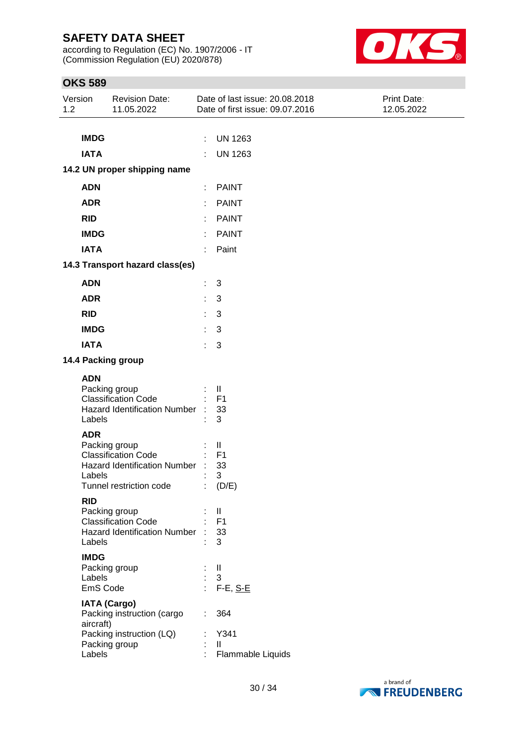according to Regulation (EC) No. 1907/2006 - IT (Commission Regulation (EU) 2020/878)



| Version<br>1.2 |                                   | <b>Revision Date:</b><br>11.05.2022                                                                           |    | Date of last issue: 20.08.2018<br>Date of first issue: 09.07.2016 | Print Date:<br>12.05.2022 |
|----------------|-----------------------------------|---------------------------------------------------------------------------------------------------------------|----|-------------------------------------------------------------------|---------------------------|
|                |                                   |                                                                                                               |    |                                                                   |                           |
|                | <b>IMDG</b>                       |                                                                                                               | ÷  | <b>UN 1263</b>                                                    |                           |
|                | <b>IATA</b>                       |                                                                                                               |    | <b>UN 1263</b>                                                    |                           |
|                |                                   | 14.2 UN proper shipping name                                                                                  |    |                                                                   |                           |
|                | <b>ADN</b>                        |                                                                                                               |    | : PAINT                                                           |                           |
|                | <b>ADR</b>                        |                                                                                                               |    | <b>PAINT</b>                                                      |                           |
|                | <b>RID</b>                        |                                                                                                               |    | <b>PAINT</b>                                                      |                           |
|                | <b>IMDG</b>                       |                                                                                                               |    | <b>PAINT</b>                                                      |                           |
|                | <b>IATA</b>                       |                                                                                                               | ÷  | Paint                                                             |                           |
|                |                                   | 14.3 Transport hazard class(es)                                                                               |    |                                                                   |                           |
|                | <b>ADN</b>                        |                                                                                                               | ÷. | 3                                                                 |                           |
|                | <b>ADR</b>                        |                                                                                                               | ÷. | 3                                                                 |                           |
|                | <b>RID</b>                        |                                                                                                               | ÷. | 3                                                                 |                           |
|                | <b>IMDG</b>                       |                                                                                                               | ÷  | 3                                                                 |                           |
|                | <b>IATA</b>                       |                                                                                                               | ÷. | 3                                                                 |                           |
|                |                                   | 14.4 Packing group                                                                                            |    |                                                                   |                           |
|                | <b>ADN</b>                        |                                                                                                               |    |                                                                   |                           |
|                |                                   | Packing group<br><b>Classification Code</b><br><b>Hazard Identification Number</b>                            |    | Ш.<br>F <sub>1</sub><br>33                                        |                           |
|                | Labels                            |                                                                                                               |    | 3                                                                 |                           |
|                | <b>ADR</b><br>Labels              | Packing group<br><b>Classification Code</b><br><b>Hazard Identification Number</b><br>Tunnel restriction code |    | $\mathbf{I}$<br>F <sub>1</sub><br>33<br>3<br>$\therefore$ (D/E)   |                           |
|                | <b>RID</b><br>Labels              | Packing group<br><b>Classification Code</b><br>Hazard Identification Number :                                 |    | Ш<br>F <sub>1</sub><br>33<br>3                                    |                           |
|                | <b>IMDG</b><br>Labels<br>EmS Code | Packing group                                                                                                 | £. | $\mathbf{I}$<br>3<br>F-E, S-E                                     |                           |
|                | aircraft)<br>Labels               | <b>IATA (Cargo)</b><br>Packing instruction (cargo<br>Packing instruction (LQ)<br>Packing group                |    | 364<br>Y341<br>$\mathbf{I}$<br>Flammable Liquids                  |                           |

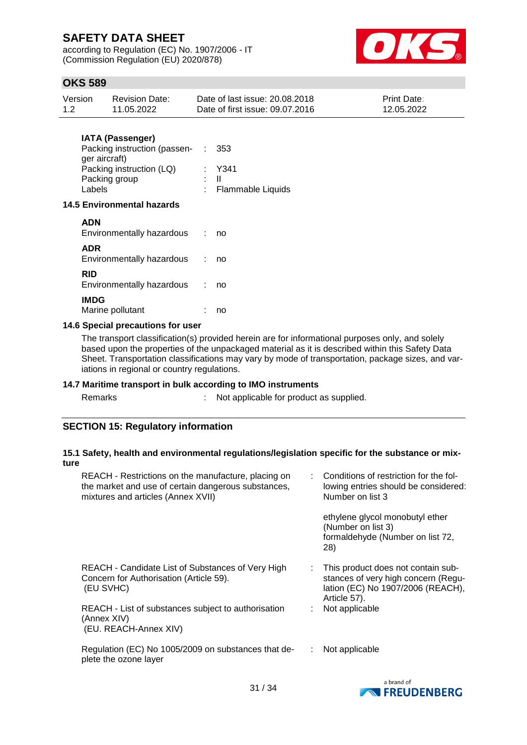according to Regulation (EC) No. 1907/2006 - IT (Commission Regulation (EU) 2020/878)



## **OKS 589**

| Version | Revision Date: | Date of last issue: 20.08.2018  | <b>Print Date:</b> |
|---------|----------------|---------------------------------|--------------------|
| 1.2     | 11.05.2022     | Date of first issue: 09.07.2016 | 12.05.2022         |

### **IATA (Passenger)**

| Packing instruction (passen- : 353 |                     |
|------------------------------------|---------------------|
| ger aircraft)                      |                     |
| Packing instruction (LQ)           | Y341                |
| Packing group                      | . II                |
| Labels                             | : Flammable Liquids |
|                                    |                     |

#### **14.5 Environmental hazards**

| <b>ADN</b><br>Environmentally hazardous | no |
|-----------------------------------------|----|
| <b>ADR</b><br>Environmentally hazardous | no |
| RID<br>Environmentally hazardous        | no |
| <b>IMDG</b><br>Marine pollutant         | no |

### **14.6 Special precautions for user**

The transport classification(s) provided herein are for informational purposes only, and solely based upon the properties of the unpackaged material as it is described within this Safety Data Sheet. Transportation classifications may vary by mode of transportation, package sizes, and variations in regional or country regulations.

#### **14.7 Maritime transport in bulk according to IMO instruments**

Remarks : Not applicable for product as supplied.

### **SECTION 15: Regulatory information**

#### **15.1 Safety, health and environmental regulations/legislation specific for the substance or mixture**

| REACH - Restrictions on the manufacture, placing on<br>the market and use of certain dangerous substances,<br>mixtures and articles (Annex XVII) | Conditions of restriction for the fol-<br>lowing entries should be considered:<br>Number on list 3                             |
|--------------------------------------------------------------------------------------------------------------------------------------------------|--------------------------------------------------------------------------------------------------------------------------------|
|                                                                                                                                                  | ethylene glycol monobutyl ether<br>(Number on list 3)<br>formaldehyde (Number on list 72,<br>28)                               |
| REACH - Candidate List of Substances of Very High<br>Concern for Authorisation (Article 59).<br>(EU SVHC)                                        | This product does not contain sub-<br>stances of very high concern (Regu-<br>lation (EC) No 1907/2006 (REACH),<br>Article 57). |
| REACH - List of substances subject to authorisation<br>(Annex XIV)<br>(EU. REACH-Annex XIV)                                                      | Not applicable                                                                                                                 |
| Regulation (EC) No 1005/2009 on substances that de-<br>plete the ozone layer                                                                     | Not applicable                                                                                                                 |

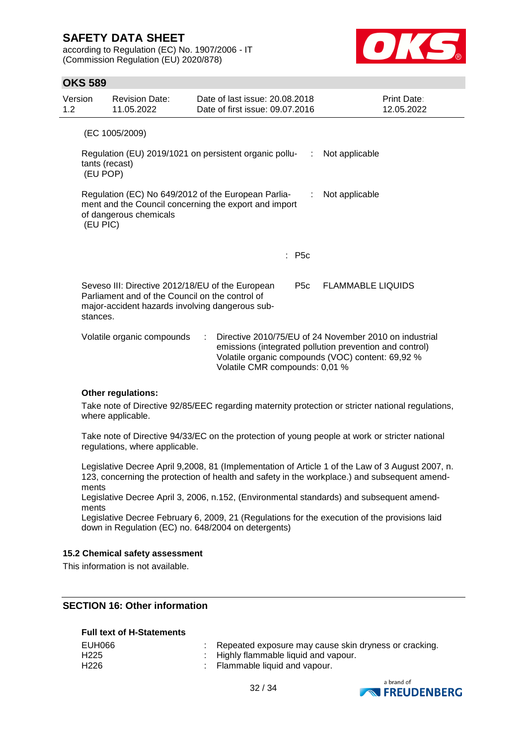according to Regulation (EC) No. 1907/2006 - IT (Commission Regulation (EU) 2020/878)



### **OKS 589**

| Version<br>1.2                                                                                                                                                            | <b>Revision Date:</b><br>11.05.2022                                                                                                                    | Date of last issue: 20.08.2018<br>Date of first issue: 09.07.2016 |                  | Print Date:<br>12.05.2022                                                                                                                                              |  |
|---------------------------------------------------------------------------------------------------------------------------------------------------------------------------|--------------------------------------------------------------------------------------------------------------------------------------------------------|-------------------------------------------------------------------|------------------|------------------------------------------------------------------------------------------------------------------------------------------------------------------------|--|
|                                                                                                                                                                           | (EC 1005/2009)                                                                                                                                         |                                                                   |                  |                                                                                                                                                                        |  |
|                                                                                                                                                                           | tants (recast)<br>(EU POP)                                                                                                                             | Regulation (EU) 2019/1021 on persistent organic pollu-<br>:       |                  | Not applicable                                                                                                                                                         |  |
| Regulation (EC) No 649/2012 of the European Parlia-<br>Not applicable<br>÷<br>ment and the Council concerning the export and import<br>of dangerous chemicals<br>(EU PIC) |                                                                                                                                                        |                                                                   |                  |                                                                                                                                                                        |  |
|                                                                                                                                                                           |                                                                                                                                                        |                                                                   | $\therefore$ P5c |                                                                                                                                                                        |  |
| stances.                                                                                                                                                                  | Seveso III: Directive 2012/18/EU of the European<br>Parliament and of the Council on the control of<br>major-accident hazards involving dangerous sub- |                                                                   | P5c              | <b>FLAMMABLE LIQUIDS</b>                                                                                                                                               |  |
|                                                                                                                                                                           | Volatile organic compounds                                                                                                                             | ÷<br>Volatile CMR compounds: 0,01 %                               |                  | Directive 2010/75/EU of 24 November 2010 on industrial<br>emissions (integrated pollution prevention and control)<br>Volatile organic compounds (VOC) content: 69,92 % |  |

#### **Other regulations:**

Take note of Directive 92/85/EEC regarding maternity protection or stricter national regulations, where applicable.

Take note of Directive 94/33/EC on the protection of young people at work or stricter national regulations, where applicable.

Legislative Decree April 9,2008, 81 (Implementation of Article 1 of the Law of 3 August 2007, n. 123, concerning the protection of health and safety in the workplace.) and subsequent amendments

Legislative Decree April 3, 2006, n.152, (Environmental standards) and subsequent amendments

Legislative Decree February 6, 2009, 21 (Regulations for the execution of the provisions laid down in Regulation (EC) no. 648/2004 on detergents)

#### **15.2 Chemical safety assessment**

This information is not available.

### **SECTION 16: Other information**

#### **Full text of H-Statements**

| EUH066           | : Repeated exposure may cause skin dryness or cracking. |
|------------------|---------------------------------------------------------|
| H225             | $\therefore$ Highly flammable liquid and vapour.        |
| H <sub>226</sub> | $\therefore$ Flammable liquid and vapour.               |



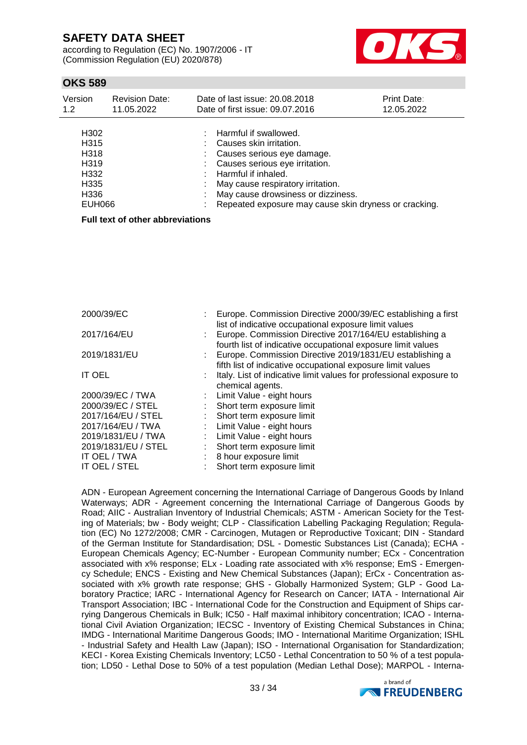according to Regulation (EC) No. 1907/2006 - IT (Commission Regulation (EU) 2020/878)



## **OKS 589**

| Version                                                                                       | <b>Revision Date:</b> | Date of last issue: 20.08.2018                                                                                                                                                                                                                                                              | Print Date: |
|-----------------------------------------------------------------------------------------------|-----------------------|---------------------------------------------------------------------------------------------------------------------------------------------------------------------------------------------------------------------------------------------------------------------------------------------|-------------|
| 1.2                                                                                           | 11.05.2022            | Date of first issue: 09.07.2016                                                                                                                                                                                                                                                             | 12.05.2022  |
| H302<br>H <sub>315</sub><br>H318<br>H <sub>319</sub><br>H332<br>H335<br>H336<br><b>EUH066</b> |                       | $:$ Harmful if swallowed.<br>: Causes skin irritation.<br>: Causes serious eye damage.<br>: Causes serious eye irritation.<br>: Harmful if inhaled.<br>: May cause respiratory irritation.<br>: May cause drowsiness or dizziness.<br>Repeated exposure may cause skin dryness or cracking. |             |

#### **Full text of other abbreviations**

| 2000/39/EC          | Europe. Commission Directive 2000/39/EC establishing a first<br>list of indicative occupational exposure limit values   |
|---------------------|-------------------------------------------------------------------------------------------------------------------------|
| 2017/164/EU         | Europe. Commission Directive 2017/164/EU establishing a<br>fourth list of indicative occupational exposure limit values |
| 2019/1831/EU        | Europe. Commission Directive 2019/1831/EU establishing a<br>fifth list of indicative occupational exposure limit values |
| IT OEL              | Italy. List of indicative limit values for professional exposure to<br>chemical agents.                                 |
| 2000/39/EC / TWA    | : Limit Value - eight hours                                                                                             |
| 2000/39/EC / STEL   | Short term exposure limit                                                                                               |
| 2017/164/EU / STEL  | : Short term exposure limit                                                                                             |
| 2017/164/EU / TWA   | : Limit Value - eight hours                                                                                             |
| 2019/1831/EU / TWA  | Limit Value - eight hours                                                                                               |
| 2019/1831/EU / STEL | Short term exposure limit                                                                                               |
| IT OEL / TWA        | 8 hour exposure limit                                                                                                   |
| IT OEL / STEL       | Short term exposure limit                                                                                               |

ADN - European Agreement concerning the International Carriage of Dangerous Goods by Inland Waterways; ADR - Agreement concerning the International Carriage of Dangerous Goods by Road; AIIC - Australian Inventory of Industrial Chemicals; ASTM - American Society for the Testing of Materials; bw - Body weight; CLP - Classification Labelling Packaging Regulation; Regulation (EC) No 1272/2008; CMR - Carcinogen, Mutagen or Reproductive Toxicant; DIN - Standard of the German Institute for Standardisation; DSL - Domestic Substances List (Canada); ECHA - European Chemicals Agency; EC-Number - European Community number; ECx - Concentration associated with x% response; ELx - Loading rate associated with x% response; EmS - Emergency Schedule; ENCS - Existing and New Chemical Substances (Japan); ErCx - Concentration associated with x% growth rate response; GHS - Globally Harmonized System; GLP - Good Laboratory Practice; IARC - International Agency for Research on Cancer; IATA - International Air Transport Association; IBC - International Code for the Construction and Equipment of Ships carrying Dangerous Chemicals in Bulk; IC50 - Half maximal inhibitory concentration; ICAO - International Civil Aviation Organization; IECSC - Inventory of Existing Chemical Substances in China; IMDG - International Maritime Dangerous Goods; IMO - International Maritime Organization; ISHL - Industrial Safety and Health Law (Japan); ISO - International Organisation for Standardization; KECI - Korea Existing Chemicals Inventory; LC50 - Lethal Concentration to 50 % of a test population; LD50 - Lethal Dose to 50% of a test population (Median Lethal Dose); MARPOL - Interna-